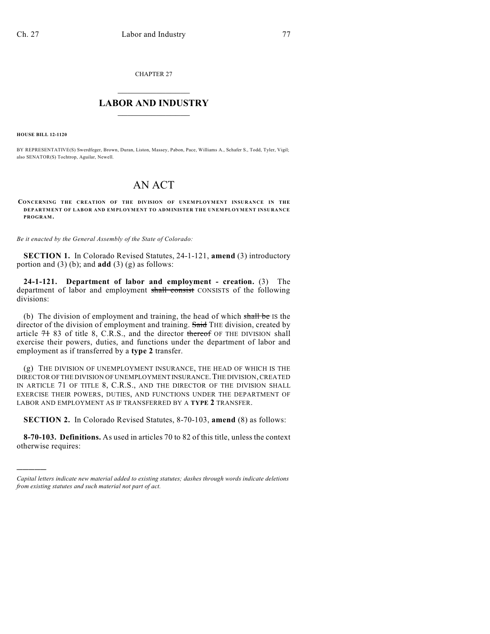CHAPTER 27

# $\overline{\phantom{a}}$  . The set of the set of the set of the set of the set of the set of the set of the set of the set of the set of the set of the set of the set of the set of the set of the set of the set of the set of the set o **LABOR AND INDUSTRY**  $\frac{1}{\sqrt{2}}$  ,  $\frac{1}{\sqrt{2}}$  ,  $\frac{1}{\sqrt{2}}$  ,  $\frac{1}{\sqrt{2}}$  ,  $\frac{1}{\sqrt{2}}$  ,  $\frac{1}{\sqrt{2}}$

**HOUSE BILL 12-1120**

)))))

BY REPRESENTATIVE(S) Swerdfeger, Brown, Duran, Liston, Massey, Pabon, Pace, Williams A., Schafer S., Todd, Tyler, Vigil; also SENATOR(S) Tochtrop, Aguilar, Newell.

# AN ACT

**CONCERNING THE CREATION OF THE DIVISION OF UNEMPLOYMENT INSURANCE IN THE DEPARTMENT OF LABOR AND EMPLOYMENT TO ADMINISTER THE UNEMPLOYMENT INSURANCE PROGRAM.**

*Be it enacted by the General Assembly of the State of Colorado:*

**SECTION 1.** In Colorado Revised Statutes, 24-1-121, **amend** (3) introductory portion and (3) (b); and **add** (3) (g) as follows:

**24-1-121. Department of labor and employment - creation.** (3) The department of labor and employment shall consist CONSISTS of the following divisions:

(b) The division of employment and training, the head of which shall be IS the director of the division of employment and training. Said THE division, created by article  $7183$  of title 8, C.R.S., and the director thereof OF THE DIVISION shall exercise their powers, duties, and functions under the department of labor and employment as if transferred by a **type 2** transfer.

(g) THE DIVISION OF UNEMPLOYMENT INSURANCE, THE HEAD OF WHICH IS THE DIRECTOR OF THE DIVISION OF UNEMPLOYMENT INSURANCE.THE DIVISION, CREATED IN ARTICLE 71 OF TITLE 8, C.R.S., AND THE DIRECTOR OF THE DIVISION SHALL EXERCISE THEIR POWERS, DUTIES, AND FUNCTIONS UNDER THE DEPARTMENT OF LABOR AND EMPLOYMENT AS IF TRANSFERRED BY A **TYPE 2** TRANSFER.

**SECTION 2.** In Colorado Revised Statutes, 8-70-103, **amend** (8) as follows:

**8-70-103. Definitions.** As used in articles 70 to 82 of this title, unless the context otherwise requires:

*Capital letters indicate new material added to existing statutes; dashes through words indicate deletions from existing statutes and such material not part of act.*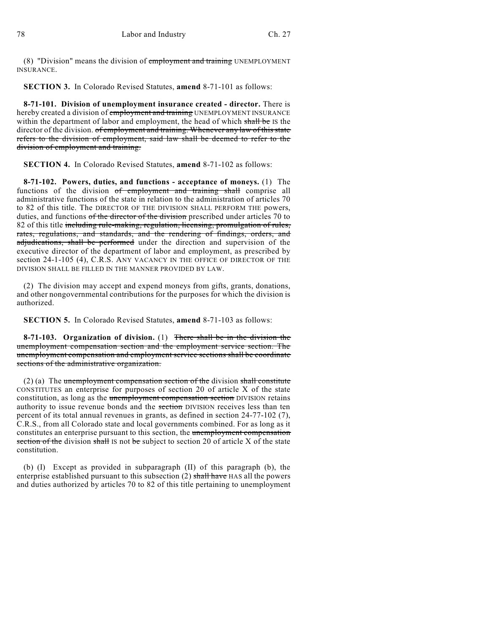(8) "Division" means the division of employment and training UNEMPLOYMENT INSURANCE.

**SECTION 3.** In Colorado Revised Statutes, **amend** 8-71-101 as follows:

**8-71-101. Division of unemployment insurance created - director.** There is hereby created a division of employment and training UNEMPLOYMENT INSURANCE within the department of labor and employment, the head of which shall be IS the director of the division. of employment and training. Whenever any law of this state refers to the division of employment, said law shall be deemed to refer to the division of employment and training.

**SECTION 4.** In Colorado Revised Statutes, **amend** 8-71-102 as follows:

**8-71-102. Powers, duties, and functions - acceptance of moneys.** (1) The functions of the division of employment and training shall comprise all administrative functions of the state in relation to the administration of articles 70 to 82 of this title. The DIRECTOR OF THE DIVISION SHALL PERFORM THE powers, duties, and functions of the director of the division prescribed under articles 70 to 82 of this title including rule-making, regulation, licensing, promulgation of rules, rates, regulations, and standards, and the rendering of findings, orders, and adjudications, shall be performed under the direction and supervision of the executive director of the department of labor and employment, as prescribed by section 24-1-105 (4), C.R.S. ANY VACANCY IN THE OFFICE OF DIRECTOR OF THE DIVISION SHALL BE FILLED IN THE MANNER PROVIDED BY LAW.

(2) The division may accept and expend moneys from gifts, grants, donations, and other nongovernmental contributions for the purposes for which the division is authorized.

**SECTION 5.** In Colorado Revised Statutes, **amend** 8-71-103 as follows:

**8-71-103. Organization of division.** (1) There shall be in the division the unemployment compensation section and the employment service section. The unemployment compensation and employment service sections shall be coordinate sections of the administrative organization.

 $(2)$  (a) The unemployment compensation section of the division shall constitute CONSTITUTES an enterprise for purposes of section 20 of article X of the state constitution, as long as the unemployment compensation section DIVISION retains authority to issue revenue bonds and the section DIVISION receives less than ten percent of its total annual revenues in grants, as defined in section 24-77-102 (7), C.R.S., from all Colorado state and local governments combined. For as long as it constitutes an enterprise pursuant to this section, the unemployment compensation section of the division shall IS not be subject to section 20 of article  $X$  of the state constitution.

(b) (I) Except as provided in subparagraph (II) of this paragraph (b), the enterprise established pursuant to this subsection (2) shall have HAS all the powers and duties authorized by articles 70 to 82 of this title pertaining to unemployment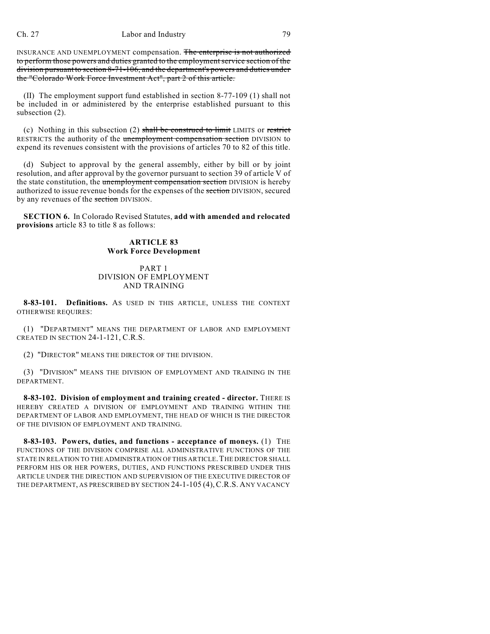#### Ch. 27 Labor and Industry 79

INSURANCE AND UNEMPLOYMENT compensation. The enterprise is not authorized to perform those powers and duties granted to the employmentservice section of the division pursuant to section 8-71-106, and the department's powers and duties under the "Colorado Work Force Investment Act", part 2 of this article.

(II) The employment support fund established in section 8-77-109 (1) shall not be included in or administered by the enterprise established pursuant to this subsection (2).

(c) Nothing in this subsection (2) shall be construed to limit LIMITS or restrict RESTRICTS the authority of the unemployment compensation section DIVISION to expend its revenues consistent with the provisions of articles 70 to 82 of this title.

(d) Subject to approval by the general assembly, either by bill or by joint resolution, and after approval by the governor pursuant to section 39 of article V of the state constitution, the unemployment compensation section DIVISION is hereby authorized to issue revenue bonds for the expenses of the section DIVISION, secured by any revenues of the section DIVISION.

**SECTION 6.** In Colorado Revised Statutes, **add with amended and relocated provisions** article 83 to title 8 as follows:

## **ARTICLE 83 Work Force Development**

## PART 1 DIVISION OF EMPLOYMENT AND TRAINING

**8-83-101. Definitions.** AS USED IN THIS ARTICLE, UNLESS THE CONTEXT OTHERWISE REQUIRES:

(1) "DEPARTMENT" MEANS THE DEPARTMENT OF LABOR AND EMPLOYMENT CREATED IN SECTION 24-1-121, C.R.S.

(2) "DIRECTOR" MEANS THE DIRECTOR OF THE DIVISION.

(3) "DIVISION" MEANS THE DIVISION OF EMPLOYMENT AND TRAINING IN THE DEPARTMENT.

**8-83-102. Division of employment and training created - director.** THERE IS HEREBY CREATED A DIVISION OF EMPLOYMENT AND TRAINING WITHIN THE DEPARTMENT OF LABOR AND EMPLOYMENT, THE HEAD OF WHICH IS THE DIRECTOR OF THE DIVISION OF EMPLOYMENT AND TRAINING.

**8-83-103. Powers, duties, and functions - acceptance of moneys.** (1) THE FUNCTIONS OF THE DIVISION COMPRISE ALL ADMINISTRATIVE FUNCTIONS OF THE STATE IN RELATION TO THE ADMINISTRATION OF THIS ARTICLE. THE DIRECTOR SHALL PERFORM HIS OR HER POWERS, DUTIES, AND FUNCTIONS PRESCRIBED UNDER THIS ARTICLE UNDER THE DIRECTION AND SUPERVISION OF THE EXECUTIVE DIRECTOR OF THE DEPARTMENT, AS PRESCRIBED BY SECTION 24-1-105 (4),C.R.S. ANY VACANCY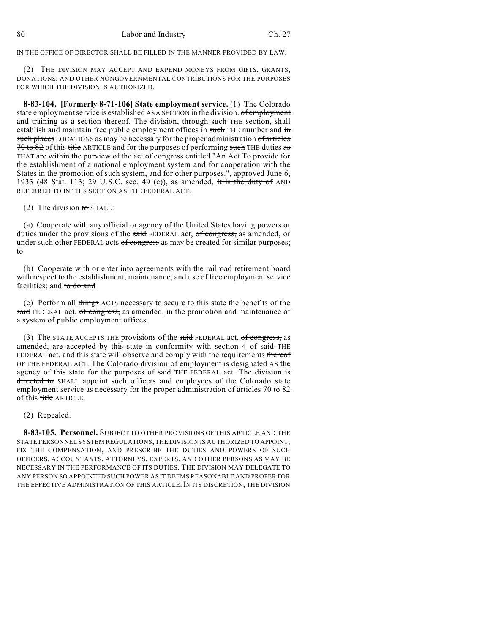IN THE OFFICE OF DIRECTOR SHALL BE FILLED IN THE MANNER PROVIDED BY LAW.

(2) THE DIVISION MAY ACCEPT AND EXPEND MONEYS FROM GIFTS, GRANTS, DONATIONS, AND OTHER NONGOVERNMENTAL CONTRIBUTIONS FOR THE PURPOSES FOR WHICH THE DIVISION IS AUTHORIZED.

**8-83-104. [Formerly 8-71-106] State employment service.** (1) The Colorado state employment service is established AS A SECTION in the division. of employment and training as a section thereof. The division, through such THE section, shall establish and maintain free public employment offices in such THE number and in such places LOCATIONS as may be necessary for the proper administration of articles 70 to 82 of this title ARTICLE and for the purposes of performing such THE duties as THAT are within the purview of the act of congress entitled "An Act To provide for the establishment of a national employment system and for cooperation with the States in the promotion of such system, and for other purposes.", approved June 6, 1933 (48 Stat. 113; 29 U.S.C. sec. 49 (c)), as amended, It is the duty of AND REFERRED TO IN THIS SECTION AS THE FEDERAL ACT.

(2) The division to SHALL:

(a) Cooperate with any official or agency of the United States having powers or duties under the provisions of the said FEDERAL act, of congress, as amended, or under such other FEDERAL acts of congress as may be created for similar purposes; to

(b) Cooperate with or enter into agreements with the railroad retirement board with respect to the establishment, maintenance, and use of free employment service facilities; and to do and

(c) Perform all things ACTS necessary to secure to this state the benefits of the said FEDERAL act, of congress, as amended, in the promotion and maintenance of a system of public employment offices.

(3) The STATE ACCEPTS THE provisions of the said FEDERAL act, of congress, as amended, are accepted by this state in conformity with section 4 of said THE FEDERAL act, and this state will observe and comply with the requirements thereof OF THE FEDERAL ACT. The Colorado division of employment is designated AS the agency of this state for the purposes of said THE FEDERAL act. The division is directed to SHALL appoint such officers and employees of the Colorado state employment service as necessary for the proper administration of articles 70 to 82 of this title ARTICLE.

#### (2) Repealed.

**8-83-105. Personnel.** SUBJECT TO OTHER PROVISIONS OF THIS ARTICLE AND THE STATE PERSONNEL SYSTEM REGULATIONS, THE DIVISION IS AUTHORIZED TO APPOINT, FIX THE COMPENSATION, AND PRESCRIBE THE DUTIES AND POWERS OF SUCH OFFICERS, ACCOUNTANTS, ATTORNEYS, EXPERTS, AND OTHER PERSONS AS MAY BE NECESSARY IN THE PERFORMANCE OF ITS DUTIES. THE DIVISION MAY DELEGATE TO ANY PERSON SO APPOINTED SUCH POWER AS IT DEEMSREASONABLE AND PROPER FOR THE EFFECTIVE ADMINISTRATION OF THIS ARTICLE. IN ITS DISCRETION, THE DIVISION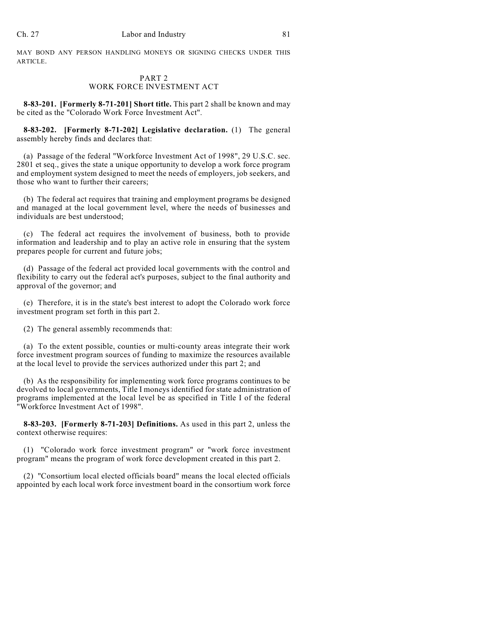MAY BOND ANY PERSON HANDLING MONEYS OR SIGNING CHECKS UNDER THIS ARTICLE.

## PART 2 WORK FORCE INVESTMENT ACT

**8-83-201. [Formerly 8-71-201] Short title.** This part 2 shall be known and may be cited as the "Colorado Work Force Investment Act".

**8-83-202. [Formerly 8-71-202] Legislative declaration.** (1) The general assembly hereby finds and declares that:

(a) Passage of the federal "Workforce Investment Act of 1998", 29 U.S.C. sec. 2801 et seq., gives the state a unique opportunity to develop a work force program and employment system designed to meet the needs of employers, job seekers, and those who want to further their careers;

(b) The federal act requires that training and employment programs be designed and managed at the local government level, where the needs of businesses and individuals are best understood;

(c) The federal act requires the involvement of business, both to provide information and leadership and to play an active role in ensuring that the system prepares people for current and future jobs;

(d) Passage of the federal act provided local governments with the control and flexibility to carry out the federal act's purposes, subject to the final authority and approval of the governor; and

(e) Therefore, it is in the state's best interest to adopt the Colorado work force investment program set forth in this part 2.

(2) The general assembly recommends that:

(a) To the extent possible, counties or multi-county areas integrate their work force investment program sources of funding to maximize the resources available at the local level to provide the services authorized under this part 2; and

(b) As the responsibility for implementing work force programs continues to be devolved to local governments, Title I moneys identified for state administration of programs implemented at the local level be as specified in Title I of the federal "Workforce Investment Act of 1998".

**8-83-203. [Formerly 8-71-203] Definitions.** As used in this part 2, unless the context otherwise requires:

(1) "Colorado work force investment program" or "work force investment program" means the program of work force development created in this part 2.

(2) "Consortium local elected officials board" means the local elected officials appointed by each local work force investment board in the consortium work force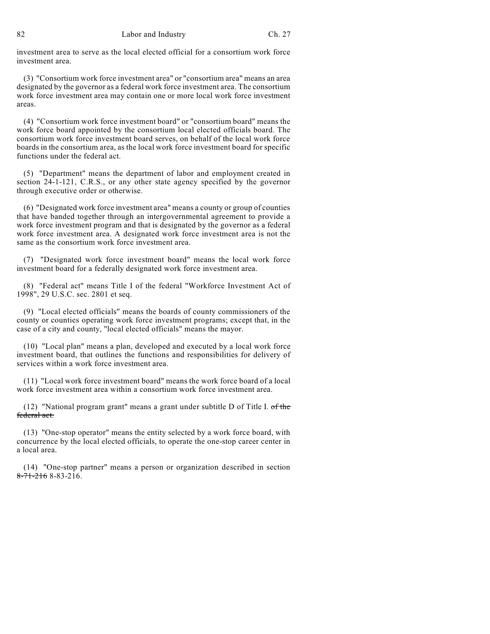investment area to serve as the local elected official for a consortium work force investment area.

(3) "Consortium work force investment area" or "consortium area" means an area designated by the governor as a federal work force investment area. The consortium work force investment area may contain one or more local work force investment areas.

(4) "Consortium work force investment board" or "consortium board" means the work force board appointed by the consortium local elected officials board. The consortium work force investment board serves, on behalf of the local work force boards in the consortium area, as the local work force investment board for specific functions under the federal act.

(5) "Department" means the department of labor and employment created in section 24-1-121, C.R.S., or any other state agency specified by the governor through executive order or otherwise.

(6) "Designated work force investment area" means a county or group of counties that have banded together through an intergovernmental agreement to provide a work force investment program and that is designated by the governor as a federal work force investment area. A designated work force investment area is not the same as the consortium work force investment area.

(7) "Designated work force investment board" means the local work force investment board for a federally designated work force investment area.

(8) "Federal act" means Title I of the federal "Workforce Investment Act of 1998", 29 U.S.C. sec. 2801 et seq.

(9) "Local elected officials" means the boards of county commissioners of the county or counties operating work force investment programs; except that, in the case of a city and county, "local elected officials" means the mayor.

(10) "Local plan" means a plan, developed and executed by a local work force investment board, that outlines the functions and responsibilities for delivery of services within a work force investment area.

(11) "Local work force investment board" means the work force board of a local work force investment area within a consortium work force investment area.

(12) "National program grant" means a grant under subtitle D of Title I. of the federal act.

(13) "One-stop operator" means the entity selected by a work force board, with concurrence by the local elected officials, to operate the one-stop career center in a local area.

(14) "One-stop partner" means a person or organization described in section  $8-71-2168-83-216$ .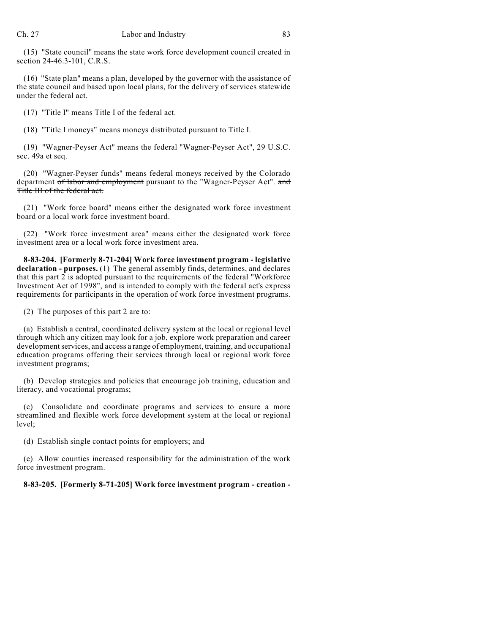(15) "State council" means the state work force development council created in section 24-46.3-101, C.R.S.

(16) "State plan" means a plan, developed by the governor with the assistance of the state council and based upon local plans, for the delivery of services statewide under the federal act.

(17) "Title I" means Title I of the federal act.

(18) "Title I moneys" means moneys distributed pursuant to Title I.

(19) "Wagner-Peyser Act" means the federal "Wagner-Peyser Act", 29 U.S.C. sec. 49a et seq.

(20) "Wagner-Peyser funds" means federal moneys received by the Colorado department of labor and employment pursuant to the "Wagner-Peyser Act". and Title III of the federal act.

(21) "Work force board" means either the designated work force investment board or a local work force investment board.

(22) "Work force investment area" means either the designated work force investment area or a local work force investment area.

**8-83-204. [Formerly 8-71-204] Work force investment program - legislative declaration - purposes.** (1) The general assembly finds, determines, and declares that this part 2 is adopted pursuant to the requirements of the federal "Workforce Investment Act of 1998", and is intended to comply with the federal act's express requirements for participants in the operation of work force investment programs.

(2) The purposes of this part 2 are to:

(a) Establish a central, coordinated delivery system at the local or regional level through which any citizen may look for a job, explore work preparation and career development services, and access a range of employment, training, and occupational education programs offering their services through local or regional work force investment programs;

(b) Develop strategies and policies that encourage job training, education and literacy, and vocational programs;

(c) Consolidate and coordinate programs and services to ensure a more streamlined and flexible work force development system at the local or regional level;

(d) Establish single contact points for employers; and

(e) Allow counties increased responsibility for the administration of the work force investment program.

**8-83-205. [Formerly 8-71-205] Work force investment program - creation -**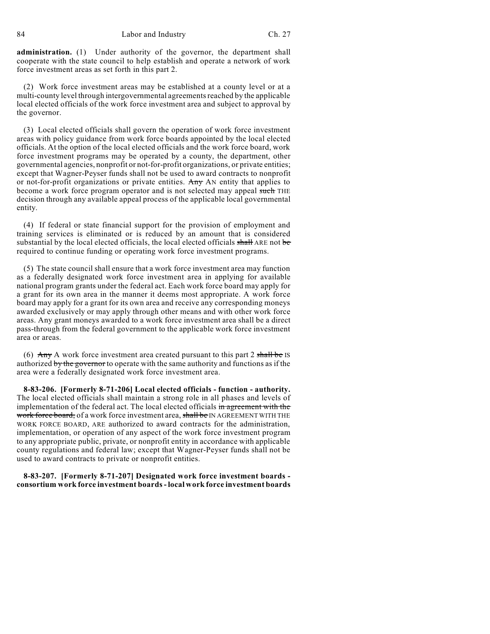**administration.** (1) Under authority of the governor, the department shall cooperate with the state council to help establish and operate a network of work force investment areas as set forth in this part 2.

(2) Work force investment areas may be established at a county level or at a multi-county level through intergovernmental agreements reached by the applicable local elected officials of the work force investment area and subject to approval by the governor.

(3) Local elected officials shall govern the operation of work force investment areas with policy guidance from work force boards appointed by the local elected officials. At the option of the local elected officials and the work force board, work force investment programs may be operated by a county, the department, other governmental agencies, nonprofit or not-for-profit organizations, or private entities; except that Wagner-Peyser funds shall not be used to award contracts to nonprofit or not-for-profit organizations or private entities. Any AN entity that applies to become a work force program operator and is not selected may appeal such THE decision through any available appeal process of the applicable local governmental entity.

(4) If federal or state financial support for the provision of employment and training services is eliminated or is reduced by an amount that is considered substantial by the local elected officials, the local elected officials shall ARE not be required to continue funding or operating work force investment programs.

(5) The state council shall ensure that a work force investment area may function as a federally designated work force investment area in applying for available national program grants under the federal act. Each work force board may apply for a grant for its own area in the manner it deems most appropriate. A work force board may apply for a grant for its own area and receive any corresponding moneys awarded exclusively or may apply through other means and with other work force areas. Any grant moneys awarded to a work force investment area shall be a direct pass-through from the federal government to the applicable work force investment area or areas.

(6)  $\overrightarrow{Any}$  A work force investment area created pursuant to this part 2 shall be IS authorized by the governor to operate with the same authority and functions as if the area were a federally designated work force investment area.

**8-83-206. [Formerly 8-71-206] Local elected officials - function - authority.** The local elected officials shall maintain a strong role in all phases and levels of implementation of the federal act. The local elected officials in agreement with the work force board, of a work force investment area, shall be IN AGREEMENT WITH THE WORK FORCE BOARD, ARE authorized to award contracts for the administration, implementation, or operation of any aspect of the work force investment program to any appropriate public, private, or nonprofit entity in accordance with applicable county regulations and federal law; except that Wagner-Peyser funds shall not be used to award contracts to private or nonprofit entities.

**8-83-207. [Formerly 8-71-207] Designated work force investment boards consortium work force investment boards- local work force investment boards**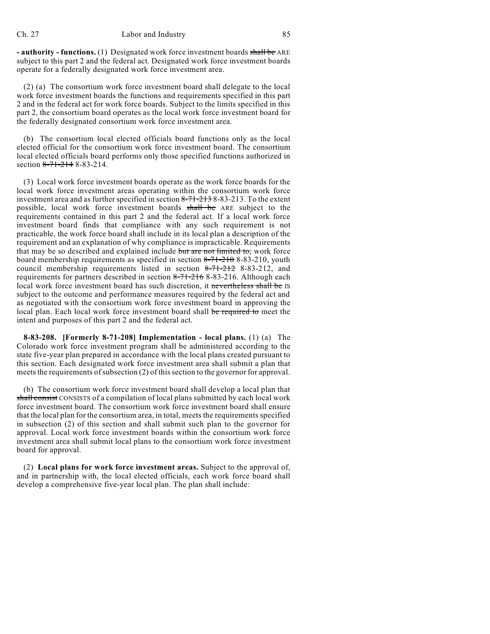**- authority - functions.** (1) Designated work force investment boards shall be ARE subject to this part 2 and the federal act. Designated work force investment boards operate for a federally designated work force investment area.

(2) (a) The consortium work force investment board shall delegate to the local work force investment boards the functions and requirements specified in this part 2 and in the federal act for work force boards. Subject to the limits specified in this part 2, the consortium board operates as the local work force investment board for the federally designated consortium work force investment area.

(b) The consortium local elected officials board functions only as the local elected official for the consortium work force investment board. The consortium local elected officials board performs only those specified functions authorized in section 8-71-214 8-83-214.

(3) Local work force investment boards operate as the work force boards for the local work force investment areas operating within the consortium work force investment area and as further specified in section  $8-71-213-8-83-213$ . To the extent possible, local work force investment boards shall be ARE subject to the requirements contained in this part 2 and the federal act. If a local work force investment board finds that compliance with any such requirement is not practicable, the work force board shall include in its local plan a description of the requirement and an explanation of why compliance is impracticable. Requirements that may be so described and explained include but are not limited to, work force board membership requirements as specified in section  $8-71-210$  8-83-210, youth council membership requirements listed in section 8-71-212 8-83-212, and requirements for partners described in section 8-71-216 8-83-216. Although each local work force investment board has such discretion, it nevertheless shall be IS subject to the outcome and performance measures required by the federal act and as negotiated with the consortium work force investment board in approving the local plan. Each local work force investment board shall be required to meet the intent and purposes of this part 2 and the federal act.

**8-83-208. [Formerly 8-71-208] Implementation - local plans.** (1) (a) The Colorado work force investment program shall be administered according to the state five-year plan prepared in accordance with the local plans created pursuant to this section. Each designated work force investment area shall submit a plan that meets the requirements of subsection (2) of this section to the governor for approval.

(b) The consortium work force investment board shall develop a local plan that shall consist CONSISTS of a compilation of local plans submitted by each local work force investment board. The consortium work force investment board shall ensure that the local plan for the consortium area, in total, meets the requirements specified in subsection (2) of this section and shall submit such plan to the governor for approval. Local work force investment boards within the consortium work force investment area shall submit local plans to the consortium work force investment board for approval.

(2) **Local plans for work force investment areas.** Subject to the approval of, and in partnership with, the local elected officials, each work force board shall develop a comprehensive five-year local plan. The plan shall include: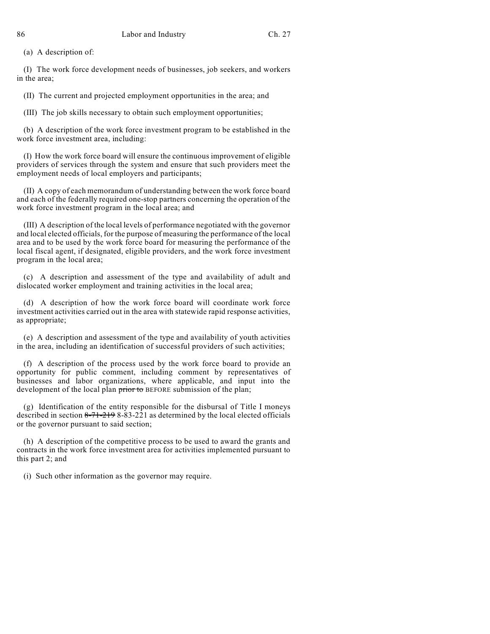(a) A description of:

(I) The work force development needs of businesses, job seekers, and workers in the area;

(II) The current and projected employment opportunities in the area; and

(III) The job skills necessary to obtain such employment opportunities;

(b) A description of the work force investment program to be established in the work force investment area, including:

(I) How the work force board will ensure the continuous improvement of eligible providers of services through the system and ensure that such providers meet the employment needs of local employers and participants;

(II) A copy of each memorandum of understanding between the work force board and each of the federally required one-stop partners concerning the operation of the work force investment program in the local area; and

(III) A description of the local levels of performance negotiated with the governor and local elected officials, for the purpose of measuring the performance of the local area and to be used by the work force board for measuring the performance of the local fiscal agent, if designated, eligible providers, and the work force investment program in the local area;

(c) A description and assessment of the type and availability of adult and dislocated worker employment and training activities in the local area;

(d) A description of how the work force board will coordinate work force investment activities carried out in the area with statewide rapid response activities, as appropriate;

(e) A description and assessment of the type and availability of youth activities in the area, including an identification of successful providers of such activities;

(f) A description of the process used by the work force board to provide an opportunity for public comment, including comment by representatives of businesses and labor organizations, where applicable, and input into the development of the local plan prior to BEFORE submission of the plan;

(g) Identification of the entity responsible for the disbursal of Title I moneys described in section  $8-71-2198-83-221$  as determined by the local elected officials or the governor pursuant to said section;

(h) A description of the competitive process to be used to award the grants and contracts in the work force investment area for activities implemented pursuant to this part 2; and

(i) Such other information as the governor may require.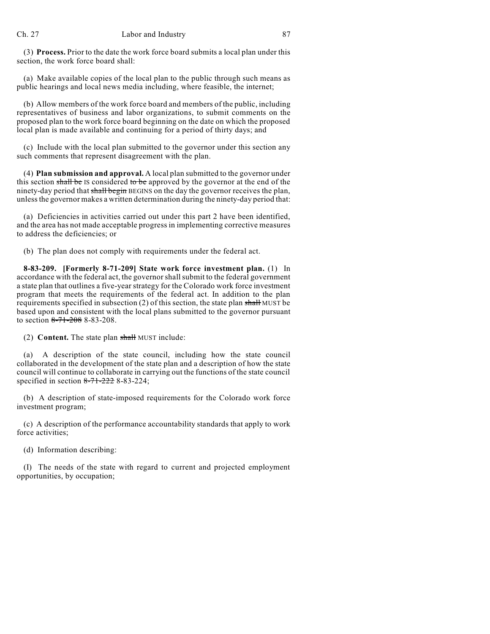(3) **Process.** Prior to the date the work force board submits a local plan under this section, the work force board shall:

(a) Make available copies of the local plan to the public through such means as public hearings and local news media including, where feasible, the internet;

(b) Allow members of the work force board and members of the public, including representatives of business and labor organizations, to submit comments on the proposed plan to the work force board beginning on the date on which the proposed local plan is made available and continuing for a period of thirty days; and

(c) Include with the local plan submitted to the governor under this section any such comments that represent disagreement with the plan.

(4) **Plan submission and approval.** A local plan submitted to the governor under this section shall be IS considered to be approved by the governor at the end of the ninety-day period that shall begin BEGINS on the day the governor receives the plan, unlessthe governor makes a written determination during the ninety-day period that:

(a) Deficiencies in activities carried out under this part 2 have been identified, and the area has not made acceptable progress in implementing corrective measures to address the deficiencies; or

(b) The plan does not comply with requirements under the federal act.

**8-83-209. [Formerly 8-71-209] State work force investment plan.** (1) In accordance with the federal act, the governor shall submit to the federal government a state plan that outlines a five-year strategy for the Colorado work force investment program that meets the requirements of the federal act. In addition to the plan requirements specified in subsection (2) of this section, the state plan shall MUST be based upon and consistent with the local plans submitted to the governor pursuant to section  $8-71-20888-83-208$ .

(2) **Content.** The state plan shall MUST include:

(a) A description of the state council, including how the state council collaborated in the development of the state plan and a description of how the state council will continue to collaborate in carrying out the functions of the state council specified in section 8-71-222 8-83-224;

(b) A description of state-imposed requirements for the Colorado work force investment program;

(c) A description of the performance accountability standards that apply to work force activities;

(d) Information describing:

(I) The needs of the state with regard to current and projected employment opportunities, by occupation;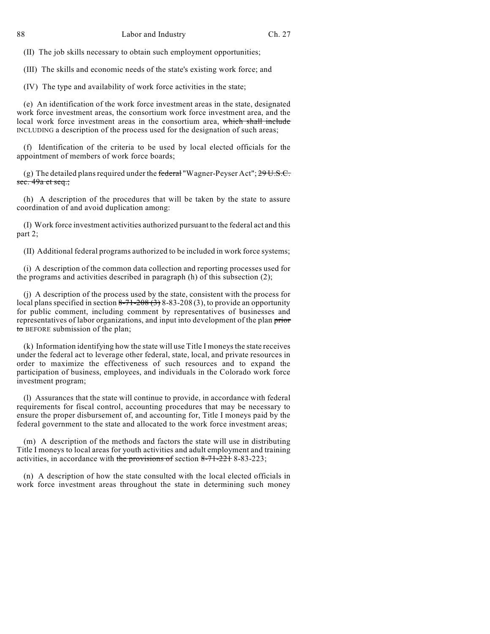(II) The job skills necessary to obtain such employment opportunities;

(III) The skills and economic needs of the state's existing work force; and

(IV) The type and availability of work force activities in the state;

(e) An identification of the work force investment areas in the state, designated work force investment areas, the consortium work force investment area, and the local work force investment areas in the consortium area, which shall include INCLUDING a description of the process used for the designation of such areas;

(f) Identification of the criteria to be used by local elected officials for the appointment of members of work force boards;

(g) The detailed plans required under the federal "Wagner-Peyser Act";  $29U.S.C.$ sec.  $49a$  et seq.;

(h) A description of the procedures that will be taken by the state to assure coordination of and avoid duplication among:

(I) Work force investment activities authorized pursuant to the federal act and this part 2;

(II) Additional federal programs authorized to be included in work force systems;

(i) A description of the common data collection and reporting processes used for the programs and activities described in paragraph (h) of this subsection (2);

(j) A description of the process used by the state, consistent with the process for local plans specified in section  $8-71-208(3)$  8-83-208(3), to provide an opportunity for public comment, including comment by representatives of businesses and representatives of labor organizations, and input into development of the plan prior to BEFORE submission of the plan;

(k) Information identifying how the state will use Title I moneys the state receives under the federal act to leverage other federal, state, local, and private resources in order to maximize the effectiveness of such resources and to expand the participation of business, employees, and individuals in the Colorado work force investment program;

(l) Assurances that the state will continue to provide, in accordance with federal requirements for fiscal control, accounting procedures that may be necessary to ensure the proper disbursement of, and accounting for, Title I moneys paid by the federal government to the state and allocated to the work force investment areas;

(m) A description of the methods and factors the state will use in distributing Title I moneys to local areas for youth activities and adult employment and training activities, in accordance with the provisions of section  $8-71-2218-83-223$ ;

(n) A description of how the state consulted with the local elected officials in work force investment areas throughout the state in determining such money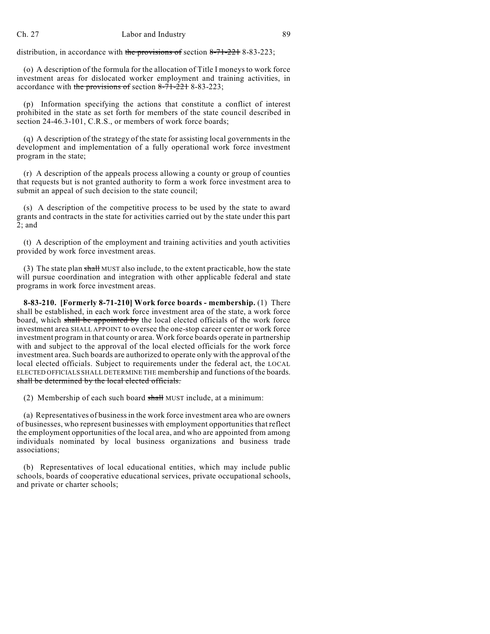distribution, in accordance with the provisions of section 8-71-221 8-83-223;

(o) A description of the formula for the allocation of Title I moneys to work force investment areas for dislocated worker employment and training activities, in accordance with the provisions of section 8-71-221 8-83-223;

(p) Information specifying the actions that constitute a conflict of interest prohibited in the state as set forth for members of the state council described in section 24-46.3-101, C.R.S., or members of work force boards;

(q) A description of the strategy of the state for assisting local governments in the development and implementation of a fully operational work force investment program in the state;

(r) A description of the appeals process allowing a county or group of counties that requests but is not granted authority to form a work force investment area to submit an appeal of such decision to the state council;

(s) A description of the competitive process to be used by the state to award grants and contracts in the state for activities carried out by the state under this part 2; and

(t) A description of the employment and training activities and youth activities provided by work force investment areas.

(3) The state plan shall MUST also include, to the extent practicable, how the state will pursue coordination and integration with other applicable federal and state programs in work force investment areas.

**8-83-210. [Formerly 8-71-210] Work force boards - membership.** (1) There shall be established, in each work force investment area of the state, a work force board, which shall be appointed by the local elected officials of the work force investment area SHALL APPOINT to oversee the one-stop career center or work force investment program in that county or area. Work force boards operate in partnership with and subject to the approval of the local elected officials for the work force investment area. Such boards are authorized to operate only with the approval of the local elected officials. Subject to requirements under the federal act, the LOCAL ELECTED OFFICIALS SHALL DETERMINE THE membership and functions of the boards. shall be determined by the local elected officials.

(2) Membership of each such board shall MUST include, at a minimum:

(a) Representatives of businessin the work force investment area who are owners of businesses, who represent businesses with employment opportunities that reflect the employment opportunities of the local area, and who are appointed from among individuals nominated by local business organizations and business trade associations;

(b) Representatives of local educational entities, which may include public schools, boards of cooperative educational services, private occupational schools, and private or charter schools;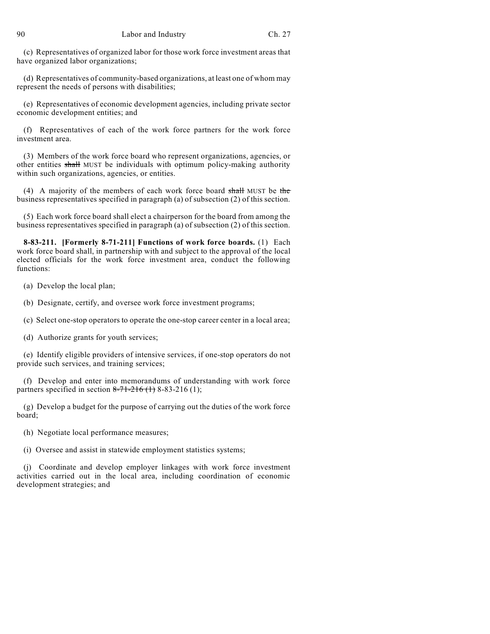(c) Representatives of organized labor for those work force investment areas that have organized labor organizations;

(d) Representatives of community-based organizations, at least one of whom may represent the needs of persons with disabilities;

(e) Representatives of economic development agencies, including private sector economic development entities; and

(f) Representatives of each of the work force partners for the work force investment area.

(3) Members of the work force board who represent organizations, agencies, or other entities shall MUST be individuals with optimum policy-making authority within such organizations, agencies, or entities.

(4) A majority of the members of each work force board shall MUST be the business representatives specified in paragraph (a) of subsection (2) of this section.

(5) Each work force board shall elect a chairperson for the board from among the business representatives specified in paragraph (a) of subsection (2) of this section.

**8-83-211. [Formerly 8-71-211] Functions of work force boards.** (1) Each work force board shall, in partnership with and subject to the approval of the local elected officials for the work force investment area, conduct the following functions:

(a) Develop the local plan;

(b) Designate, certify, and oversee work force investment programs;

(c) Select one-stop operators to operate the one-stop career center in a local area;

(d) Authorize grants for youth services;

(e) Identify eligible providers of intensive services, if one-stop operators do not provide such services, and training services;

(f) Develop and enter into memorandums of understanding with work force partners specified in section  $8-71-216$  (1) 8-83-216 (1);

(g) Develop a budget for the purpose of carrying out the duties of the work force board;

(h) Negotiate local performance measures;

(i) Oversee and assist in statewide employment statistics systems;

(j) Coordinate and develop employer linkages with work force investment activities carried out in the local area, including coordination of economic development strategies; and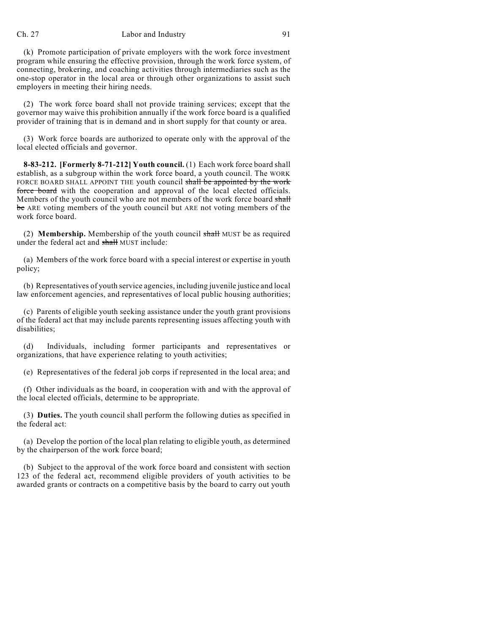## Ch. 27 Labor and Industry 91

(k) Promote participation of private employers with the work force investment program while ensuring the effective provision, through the work force system, of connecting, brokering, and coaching activities through intermediaries such as the one-stop operator in the local area or through other organizations to assist such employers in meeting their hiring needs.

(2) The work force board shall not provide training services; except that the governor may waive this prohibition annually if the work force board is a qualified provider of training that is in demand and in short supply for that county or area.

(3) Work force boards are authorized to operate only with the approval of the local elected officials and governor.

**8-83-212. [Formerly 8-71-212] Youth council.** (1) Each work force board shall establish, as a subgroup within the work force board, a youth council. The WORK FORCE BOARD SHALL APPOINT THE youth council shall be appointed by the work force board with the cooperation and approval of the local elected officials. Members of the youth council who are not members of the work force board shall be ARE voting members of the youth council but ARE not voting members of the work force board.

(2) **Membership.** Membership of the youth council shall MUST be as required under the federal act and shall MUST include:

(a) Members of the work force board with a special interest or expertise in youth policy;

(b) Representatives of youth service agencies, including juvenile justice and local law enforcement agencies, and representatives of local public housing authorities;

(c) Parents of eligible youth seeking assistance under the youth grant provisions of the federal act that may include parents representing issues affecting youth with disabilities;

(d) Individuals, including former participants and representatives or organizations, that have experience relating to youth activities;

(e) Representatives of the federal job corps if represented in the local area; and

(f) Other individuals as the board, in cooperation with and with the approval of the local elected officials, determine to be appropriate.

(3) **Duties.** The youth council shall perform the following duties as specified in the federal act:

(a) Develop the portion of the local plan relating to eligible youth, as determined by the chairperson of the work force board;

(b) Subject to the approval of the work force board and consistent with section 123 of the federal act, recommend eligible providers of youth activities to be awarded grants or contracts on a competitive basis by the board to carry out youth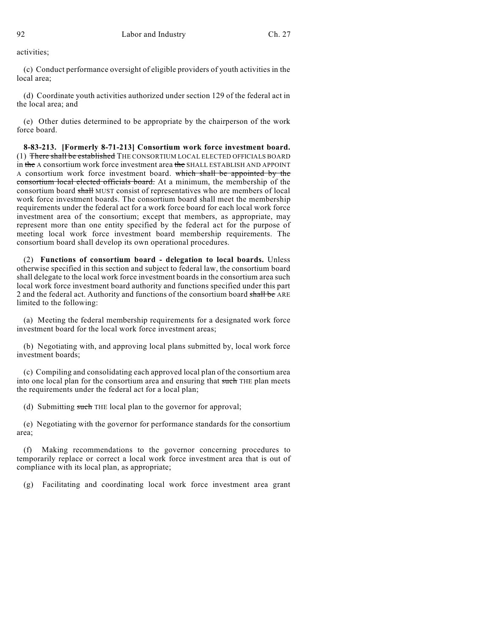activities;

(c) Conduct performance oversight of eligible providers of youth activities in the local area;

(d) Coordinate youth activities authorized under section 129 of the federal act in the local area; and

(e) Other duties determined to be appropriate by the chairperson of the work force board.

**8-83-213. [Formerly 8-71-213] Consortium work force investment board.** (1) There shall be established THE CONSORTIUM LOCAL ELECTED OFFICIALS BOARD in the A consortium work force investment area the SHALL ESTABLISH AND APPOINT A consortium work force investment board. which shall be appointed by the consortium local elected officials board. At a minimum, the membership of the consortium board shall MUST consist of representatives who are members of local work force investment boards. The consortium board shall meet the membership requirements under the federal act for a work force board for each local work force investment area of the consortium; except that members, as appropriate, may represent more than one entity specified by the federal act for the purpose of meeting local work force investment board membership requirements. The consortium board shall develop its own operational procedures.

(2) **Functions of consortium board - delegation to local boards.** Unless otherwise specified in this section and subject to federal law, the consortium board shall delegate to the local work force investment boards in the consortium area such local work force investment board authority and functions specified under this part 2 and the federal act. Authority and functions of the consortium board shall be ARE limited to the following:

(a) Meeting the federal membership requirements for a designated work force investment board for the local work force investment areas;

(b) Negotiating with, and approving local plans submitted by, local work force investment boards;

(c) Compiling and consolidating each approved local plan of the consortium area into one local plan for the consortium area and ensuring that such THE plan meets the requirements under the federal act for a local plan;

(d) Submitting such THE local plan to the governor for approval;

(e) Negotiating with the governor for performance standards for the consortium area;

(f) Making recommendations to the governor concerning procedures to temporarily replace or correct a local work force investment area that is out of compliance with its local plan, as appropriate;

(g) Facilitating and coordinating local work force investment area grant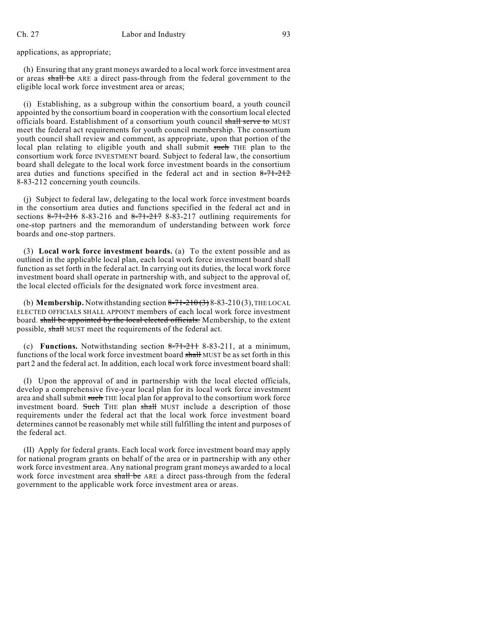applications, as appropriate;

(h) Ensuring that any grant moneys awarded to a local work force investment area or areas shall be ARE a direct pass-through from the federal government to the eligible local work force investment area or areas;

(i) Establishing, as a subgroup within the consortium board, a youth council appointed by the consortium board in cooperation with the consortium local elected officials board. Establishment of a consortium youth council shall serve to MUST meet the federal act requirements for youth council membership. The consortium youth council shall review and comment, as appropriate, upon that portion of the local plan relating to eligible youth and shall submit such THE plan to the consortium work force INVESTMENT board. Subject to federal law, the consortium board shall delegate to the local work force investment boards in the consortium area duties and functions specified in the federal act and in section  $8-71-212$ 8-83-212 concerning youth councils.

(j) Subject to federal law, delegating to the local work force investment boards in the consortium area duties and functions specified in the federal act and in sections  $8-71-216$  8-83-216 and  $8-71-217$  8-83-217 outlining requirements for one-stop partners and the memorandum of understanding between work force boards and one-stop partners.

(3) **Local work force investment boards.** (a) To the extent possible and as outlined in the applicable local plan, each local work force investment board shall function as set forth in the federal act. In carrying out its duties, the local work force investment board shall operate in partnership with, and subject to the approval of, the local elected officials for the designated work force investment area.

(b) **Membership.** Notwithstanding section  $8-71-210(3)$ ,  $8-83-210(3)$ , THE LOCAL ELECTED OFFICIALS SHALL APPOINT members of each local work force investment board. shall be appointed by the local elected officials. Membership, to the extent possible, shall MUST meet the requirements of the federal act.

(c) **Functions.** Notwithstanding section  $8-71-211$   $8-83-211$ , at a minimum, functions of the local work force investment board shall MUST be as set forth in this part 2 and the federal act. In addition, each local work force investment board shall:

(I) Upon the approval of and in partnership with the local elected officials, develop a comprehensive five-year local plan for its local work force investment area and shall submit such THE local plan for approval to the consortium work force investment board. Such THE plan shall MUST include a description of those requirements under the federal act that the local work force investment board determines cannot be reasonably met while still fulfilling the intent and purposes of the federal act.

(II) Apply for federal grants. Each local work force investment board may apply for national program grants on behalf of the area or in partnership with any other work force investment area. Any national program grant moneys awarded to a local work force investment area shall be ARE a direct pass-through from the federal government to the applicable work force investment area or areas.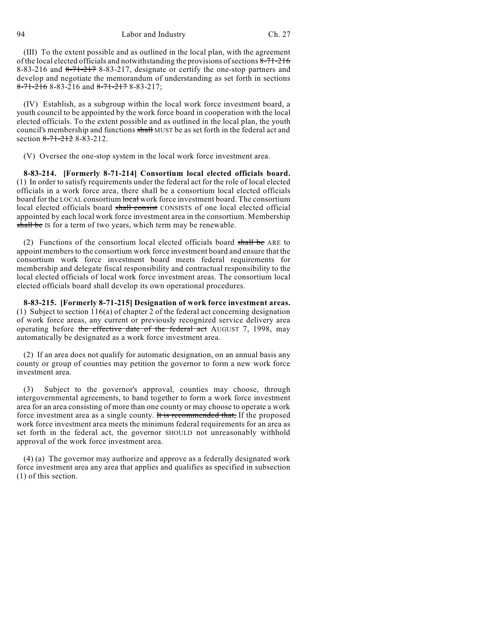94 Labor and Industry Ch. 27

(III) To the extent possible and as outlined in the local plan, with the agreement of the local elected officials and notwithstanding the provisions of sections 8-71-216 8-83-216 and  $8\overline{+71\overline{+217}}$  8-83-217, designate or certify the one-stop partners and develop and negotiate the memorandum of understanding as set forth in sections  $8-71-216$  8-83-216 and  $8-71-217$  8-83-217;

(IV) Establish, as a subgroup within the local work force investment board, a youth council to be appointed by the work force board in cooperation with the local elected officials. To the extent possible and as outlined in the local plan, the youth council's membership and functions shall MUST be as set forth in the federal act and section  $8-71-2128-83-212$ .

(V) Oversee the one-stop system in the local work force investment area.

**8-83-214. [Formerly 8-71-214] Consortium local elected officials board.** (1) In order to satisfy requirements under the federal act for the role of local elected officials in a work force area, there shall be a consortium local elected officials board for the LOCAL consortium local work force investment board. The consortium local elected officials board shall consist CONSISTS of one local elected official appointed by each local work force investment area in the consortium. Membership shall be IS for a term of two years, which term may be renewable.

(2) Functions of the consortium local elected officials board shall be ARE to appoint members to the consortium work force investment board and ensure that the consortium work force investment board meets federal requirements for membership and delegate fiscal responsibility and contractual responsibility to the local elected officials of local work force investment areas. The consortium local elected officials board shall develop its own operational procedures.

**8-83-215. [Formerly 8-71-215] Designation of work force investment areas.** (1) Subject to section 116(a) of chapter 2 of the federal act concerning designation of work force areas, any current or previously recognized service delivery area operating before the effective date of the federal act AUGUST 7, 1998, may automatically be designated as a work force investment area.

(2) If an area does not qualify for automatic designation, on an annual basis any county or group of counties may petition the governor to form a new work force investment area.

(3) Subject to the governor's approval, counties may choose, through intergovernmental agreements, to band together to form a work force investment area for an area consisting of more than one county or may choose to operate a work force investment area as a single county. It is recommended that, If the proposed work force investment area meets the minimum federal requirements for an area as set forth in the federal act, the governor SHOULD not unreasonably withhold approval of the work force investment area.

(4) (a) The governor may authorize and approve as a federally designated work force investment area any area that applies and qualifies as specified in subsection (1) of this section.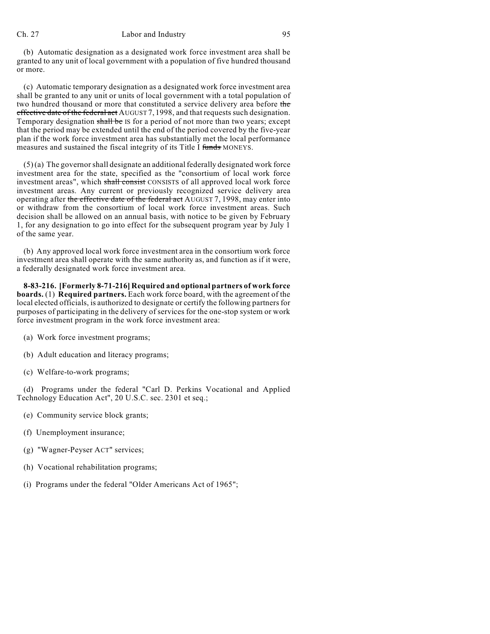## Ch. 27 Labor and Industry 95

(b) Automatic designation as a designated work force investment area shall be granted to any unit of local government with a population of five hundred thousand or more.

(c) Automatic temporary designation as a designated work force investment area shall be granted to any unit or units of local government with a total population of two hundred thousand or more that constituted a service delivery area before the effective date of the federal act AUGUST 7, 1998, and that requests such designation. Temporary designation shall be IS for a period of not more than two years; except that the period may be extended until the end of the period covered by the five-year plan if the work force investment area has substantially met the local performance measures and sustained the fiscal integrity of its Title I funds MONEYS.

 $(5)$  (a) The governor shall designate an additional federally designated work force investment area for the state, specified as the "consortium of local work force investment areas", which shall consist CONSISTS of all approved local work force investment areas. Any current or previously recognized service delivery area operating after the effective date of the federal act AUGUST 7, 1998, may enter into or withdraw from the consortium of local work force investment areas. Such decision shall be allowed on an annual basis, with notice to be given by February 1, for any designation to go into effect for the subsequent program year by July 1 of the same year.

(b) Any approved local work force investment area in the consortium work force investment area shall operate with the same authority as, and function as if it were, a federally designated work force investment area.

**8-83-216. [Formerly 8-71-216] Required and optional partners of work force boards.** (1) **Required partners.** Each work force board, with the agreement of the local elected officials, is authorized to designate or certify the following partners for purposes of participating in the delivery of services for the one-stop system or work force investment program in the work force investment area:

- (a) Work force investment programs;
- (b) Adult education and literacy programs;
- (c) Welfare-to-work programs;

(d) Programs under the federal "Carl D. Perkins Vocational and Applied Technology Education Act", 20 U.S.C. sec. 2301 et seq.;

- (e) Community service block grants;
- (f) Unemployment insurance;
- (g) "Wagner-Peyser ACT" services;
- (h) Vocational rehabilitation programs;
- (i) Programs under the federal "Older Americans Act of 1965";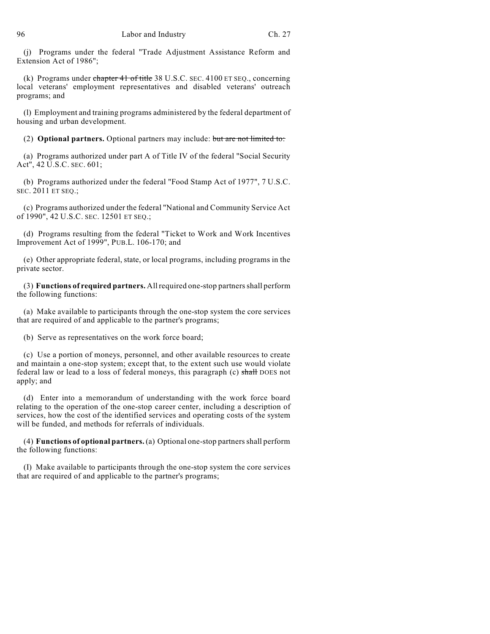(j) Programs under the federal "Trade Adjustment Assistance Reform and Extension Act of 1986";

(k) Programs under chapter 41 of title 38 U.S.C. SEC. 4100 ET SEQ., concerning local veterans' employment representatives and disabled veterans' outreach programs; and

(l) Employment and training programs administered by the federal department of housing and urban development.

(2) **Optional partners.** Optional partners may include: but are not limited to:

(a) Programs authorized under part A of Title IV of the federal "Social Security Act", 42 U.S.C. SEC. 601;

(b) Programs authorized under the federal "Food Stamp Act of 1977", 7 U.S.C. SEC. 2011 ET SEQ.;

(c) Programs authorized under the federal "National and Community Service Act of 1990", 42 U.S.C. SEC. 12501 ET SEQ.;

(d) Programs resulting from the federal "Ticket to Work and Work Incentives Improvement Act of 1999", PUB.L. 106-170; and

(e) Other appropriate federal, state, or local programs, including programs in the private sector.

(3) **Functions of required partners.** Allrequired one-stop partnersshall perform the following functions:

(a) Make available to participants through the one-stop system the core services that are required of and applicable to the partner's programs;

(b) Serve as representatives on the work force board;

(c) Use a portion of moneys, personnel, and other available resources to create and maintain a one-stop system; except that, to the extent such use would violate federal law or lead to a loss of federal moneys, this paragraph (c) shall DOES not apply; and

(d) Enter into a memorandum of understanding with the work force board relating to the operation of the one-stop career center, including a description of services, how the cost of the identified services and operating costs of the system will be funded, and methods for referrals of individuals.

(4) **Functions of optional partners.** (a) Optional one-stop partnersshall perform the following functions:

(I) Make available to participants through the one-stop system the core services that are required of and applicable to the partner's programs;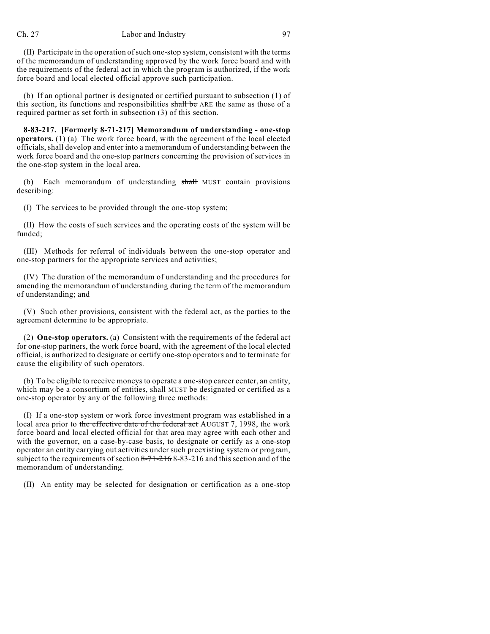(II) Participate in the operation ofsuch one-stop system, consistent with the terms of the memorandum of understanding approved by the work force board and with the requirements of the federal act in which the program is authorized, if the work force board and local elected official approve such participation.

(b) If an optional partner is designated or certified pursuant to subsection (1) of this section, its functions and responsibilities shall be ARE the same as those of a required partner as set forth in subsection (3) of this section.

**8-83-217. [Formerly 8-71-217] Memorandum of understanding - one-stop operators.** (1) (a) The work force board, with the agreement of the local elected officials, shall develop and enter into a memorandum of understanding between the work force board and the one-stop partners concerning the provision of services in the one-stop system in the local area.

(b) Each memorandum of understanding shall MUST contain provisions describing:

(I) The services to be provided through the one-stop system;

(II) How the costs of such services and the operating costs of the system will be funded;

(III) Methods for referral of individuals between the one-stop operator and one-stop partners for the appropriate services and activities;

(IV) The duration of the memorandum of understanding and the procedures for amending the memorandum of understanding during the term of the memorandum of understanding; and

(V) Such other provisions, consistent with the federal act, as the parties to the agreement determine to be appropriate.

(2) **One-stop operators.** (a) Consistent with the requirements of the federal act for one-stop partners, the work force board, with the agreement of the local elected official, is authorized to designate or certify one-stop operators and to terminate for cause the eligibility of such operators.

(b) To be eligible to receive moneys to operate a one-stop career center, an entity, which may be a consortium of entities, shall MUST be designated or certified as a one-stop operator by any of the following three methods:

(I) If a one-stop system or work force investment program was established in a local area prior to the effective date of the federal act AUGUST 7, 1998, the work force board and local elected official for that area may agree with each other and with the governor, on a case-by-case basis, to designate or certify as a one-stop operator an entity carrying out activities under such preexisting system or program, subject to the requirements of section 8-71-216 8-83-216 and this section and of the memorandum of understanding.

(II) An entity may be selected for designation or certification as a one-stop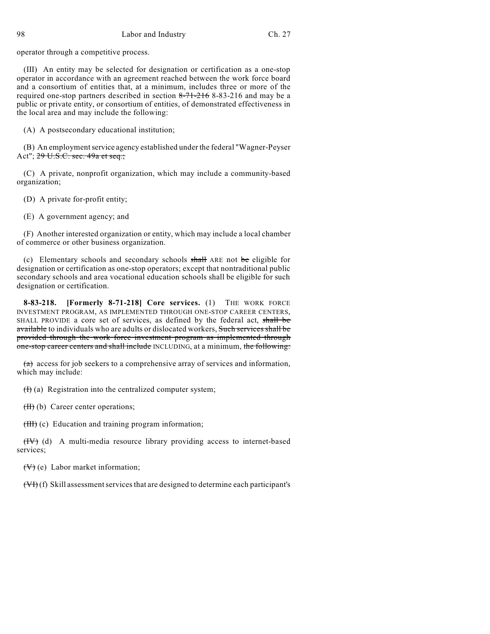98 Labor and Industry Ch. 27

operator through a competitive process.

(III) An entity may be selected for designation or certification as a one-stop operator in accordance with an agreement reached between the work force board and a consortium of entities that, at a minimum, includes three or more of the required one-stop partners described in section  $8-71-216$  8-83-216 and may be a public or private entity, or consortium of entities, of demonstrated effectiveness in the local area and may include the following:

(A) A postsecondary educational institution;

(B) An employmentservice agency established under the federal "Wagner-Peyser Act"; 29 U.S.C. sec. 49a et seq.;

(C) A private, nonprofit organization, which may include a community-based organization;

(D) A private for-profit entity;

(E) A government agency; and

(F) Another interested organization or entity, which may include a local chamber of commerce or other business organization.

(c) Elementary schools and secondary schools  $\frac{1}{n}$  ARE not be eligible for designation or certification as one-stop operators; except that nontraditional public secondary schools and area vocational education schools shall be eligible for such designation or certification.

**8-83-218. [Formerly 8-71-218] Core services.** (1) THE WORK FORCE INVESTMENT PROGRAM, AS IMPLEMENTED THROUGH ONE-STOP CAREER CENTERS, SHALL PROVIDE a core set of services, as defined by the federal act, shall be available to individuals who are adults or dislocated workers, Such services shall be provided through the work force investment program as implemented through one-stop career centers and shall include INCLUDING, at a minimum, the following:

 $(a)$  access for job seekers to a comprehensive array of services and information, which may include:

 $(H)$  (a) Registration into the centralized computer system;

(H) (b) Career center operations;

(HH) (c) Education and training program information;

 $(HV)$  (d) A multi-media resource library providing access to internet-based services;

 $(\forall)$  (e) Labor market information;

 $(VF)(f)$  Skill assessment services that are designed to determine each participant's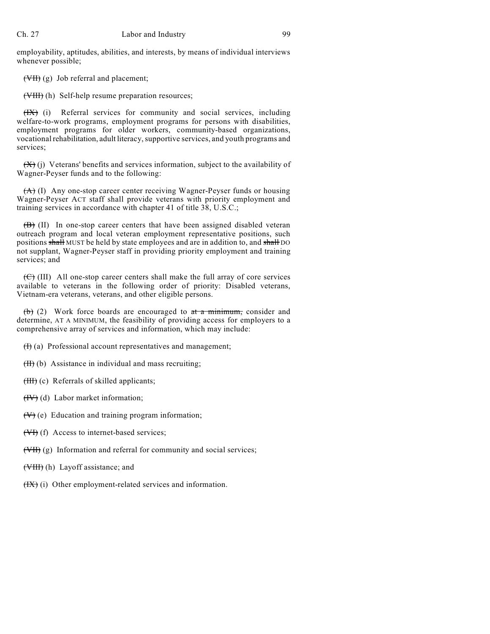employability, aptitudes, abilities, and interests, by means of individual interviews whenever possible;

(VII) (g) Job referral and placement;

(VIII) (h) Self-help resume preparation resources;

(IX) (i) Referral services for community and social services, including welfare-to-work programs, employment programs for persons with disabilities, employment programs for older workers, community-based organizations, vocational rehabilitation, adult literacy,supportive services, and youth programs and services;

 $(X)$  (i) Veterans' benefits and services information, subject to the availability of Wagner-Peyser funds and to the following:

(A) (I) Any one-stop career center receiving Wagner-Peyser funds or housing Wagner-Peyser ACT staff shall provide veterans with priority employment and training services in accordance with chapter 41 of title 38, U.S.C.;

 $(\overline{B})$  (II) In one-stop career centers that have been assigned disabled veteran outreach program and local veteran employment representative positions, such positions shall MUST be held by state employees and are in addition to, and shall DO not supplant, Wagner-Peyser staff in providing priority employment and training services; and

 $(\overline{\mathcal{C}})$  (III) All one-stop career centers shall make the full array of core services available to veterans in the following order of priority: Disabled veterans, Vietnam-era veterans, veterans, and other eligible persons.

(b) (2) Work force boards are encouraged to  $at a minimum$ , consider and determine, AT A MINIMUM, the feasibility of providing access for employers to a comprehensive array of services and information, which may include:

 $(H)$  (a) Professional account representatives and management;

 $(H)$  (b) Assistance in individual and mass recruiting;

 $(HH)(c)$  Referrals of skilled applicants;

 $(HV)(d)$  Labor market information;

 $(V)$  (e) Education and training program information;

(VI) (f) Access to internet-based services;

(VII) (g) Information and referral for community and social services;

(VIII) (h) Layoff assistance; and

(IX) (i) Other employment-related services and information.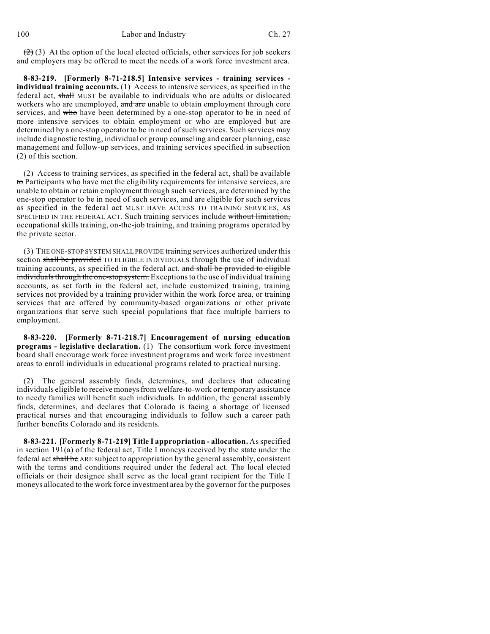$(2)$  (3) At the option of the local elected officials, other services for job seekers and employers may be offered to meet the needs of a work force investment area.

**8-83-219. [Formerly 8-71-218.5] Intensive services - training services individual training accounts.** (1) Access to intensive services, as specified in the federal act, shall MUST be available to individuals who are adults or dislocated workers who are unemployed, and are unable to obtain employment through core services, and who have been determined by a one-stop operator to be in need of more intensive services to obtain employment or who are employed but are determined by a one-stop operator to be in need of such services. Such services may include diagnostic testing, individual or group counseling and career planning, case management and follow-up services, and training services specified in subsection (2) of this section.

 $(2)$  Access to training services, as specified in the federal act, shall be available to Participants who have met the eligibility requirements for intensive services, are unable to obtain or retain employment through such services, are determined by the one-stop operator to be in need of such services, and are eligible for such services as specified in the federal act MUST HAVE ACCESS TO TRAINING SERVICES, AS SPECIFIED IN THE FEDERAL ACT. Such training services include without limitation, occupational skills training, on-the-job training, and training programs operated by the private sector.

(3) THE ONE-STOP SYSTEM SHALL PROVIDE training services authorized under this section shall be provided TO ELIGIBLE INDIVIDUALS through the use of individual training accounts, as specified in the federal act. and shall be provided to eligible individuals through the one-stop system. Exceptions to the use of individual training accounts, as set forth in the federal act, include customized training, training services not provided by a training provider within the work force area, or training services that are offered by community-based organizations or other private organizations that serve such special populations that face multiple barriers to employment.

**8-83-220. [Formerly 8-71-218.7] Encouragement of nursing education programs - legislative declaration.** (1) The consortium work force investment board shall encourage work force investment programs and work force investment areas to enroll individuals in educational programs related to practical nursing.

(2) The general assembly finds, determines, and declares that educating individuals eligible to receive moneys from welfare-to-work or temporary assistance to needy families will benefit such individuals. In addition, the general assembly finds, determines, and declares that Colorado is facing a shortage of licensed practical nurses and that encouraging individuals to follow such a career path further benefits Colorado and its residents.

**8-83-221. [Formerly 8-71-219] Title I appropriation - allocation.** Asspecified in section 191(a) of the federal act, Title I moneys received by the state under the federal act shall be ARE subject to appropriation by the general assembly, consistent with the terms and conditions required under the federal act. The local elected officials or their designee shall serve as the local grant recipient for the Title I moneys allocated to the work force investment area by the governor for the purposes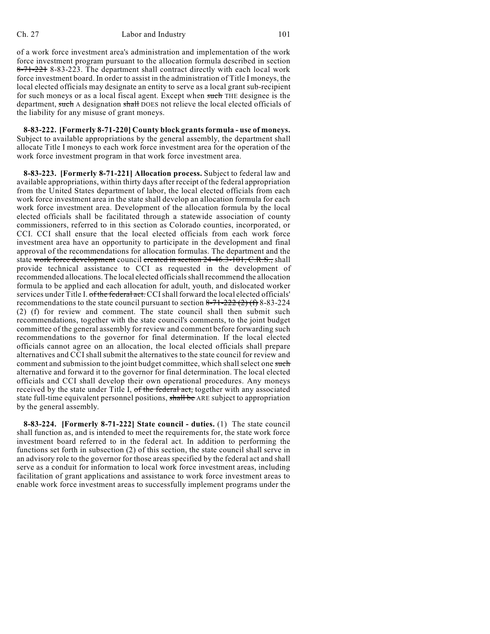of a work force investment area's administration and implementation of the work force investment program pursuant to the allocation formula described in section 8-71-221 8-83-223. The department shall contract directly with each local work force investment board. In order to assist in the administration of Title I moneys, the local elected officials may designate an entity to serve as a local grant sub-recipient for such moneys or as a local fiscal agent. Except when such THE designee is the department, such A designation shall DOES not relieve the local elected officials of the liability for any misuse of grant moneys.

**8-83-222. [Formerly 8-71-220] County block grantsformula - use of moneys.** Subject to available appropriations by the general assembly, the department shall allocate Title I moneys to each work force investment area for the operation of the work force investment program in that work force investment area.

**8-83-223. [Formerly 8-71-221] Allocation process.** Subject to federal law and available appropriations, within thirty days after receipt of the federal appropriation from the United States department of labor, the local elected officials from each work force investment area in the state shall develop an allocation formula for each work force investment area. Development of the allocation formula by the local elected officials shall be facilitated through a statewide association of county commissioners, referred to in this section as Colorado counties, incorporated, or CCI. CCI shall ensure that the local elected officials from each work force investment area have an opportunity to participate in the development and final approval of the recommendations for allocation formulas. The department and the state work force development council created in section 24-46.3-101, C.R.S., shall provide technical assistance to CCI as requested in the development of recommended allocations. The local elected officialsshall recommend the allocation formula to be applied and each allocation for adult, youth, and dislocated worker services under Title I. of the federal act. CCI shall forward the local elected officials' recommendations to the state council pursuant to section  $8-71-222$  (2) (f) 8-83-224 (2) (f) for review and comment. The state council shall then submit such recommendations, together with the state council's comments, to the joint budget committee of the general assembly for review and comment before forwarding such recommendations to the governor for final determination. If the local elected officials cannot agree on an allocation, the local elected officials shall prepare alternatives and CCI shall submit the alternatives to the state council for review and comment and submission to the joint budget committee, which shall select one such alternative and forward it to the governor for final determination. The local elected officials and CCI shall develop their own operational procedures. Any moneys received by the state under Title I, of the federal act, together with any associated state full-time equivalent personnel positions, shall be ARE subject to appropriation by the general assembly.

**8-83-224. [Formerly 8-71-222] State council - duties.** (1) The state council shall function as, and is intended to meet the requirements for, the state work force investment board referred to in the federal act. In addition to performing the functions set forth in subsection (2) of this section, the state council shall serve in an advisory role to the governor for those areas specified by the federal act and shall serve as a conduit for information to local work force investment areas, including facilitation of grant applications and assistance to work force investment areas to enable work force investment areas to successfully implement programs under the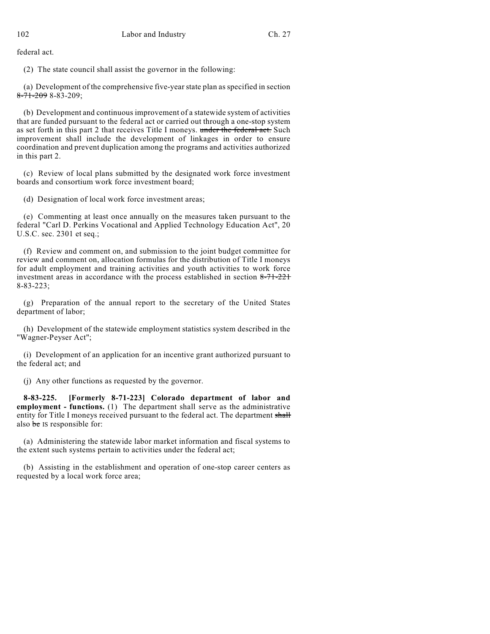federal act.

(2) The state council shall assist the governor in the following:

(a) Development of the comprehensive five-year state plan as specified in section  $8-71-2098-83-209$ ;

(b) Development and continuous improvement of a statewide system of activities that are funded pursuant to the federal act or carried out through a one-stop system as set forth in this part 2 that receives Title I moneys. under the federal act. Such improvement shall include the development of linkages in order to ensure coordination and prevent duplication among the programs and activities authorized in this part 2.

(c) Review of local plans submitted by the designated work force investment boards and consortium work force investment board;

(d) Designation of local work force investment areas;

(e) Commenting at least once annually on the measures taken pursuant to the federal "Carl D. Perkins Vocational and Applied Technology Education Act", 20 U.S.C. sec. 2301 et seq.;

(f) Review and comment on, and submission to the joint budget committee for review and comment on, allocation formulas for the distribution of Title I moneys for adult employment and training activities and youth activities to work force investment areas in accordance with the process established in section 8-71-221 8-83-223;

(g) Preparation of the annual report to the secretary of the United States department of labor;

(h) Development of the statewide employment statistics system described in the "Wagner-Peyser Act";

(i) Development of an application for an incentive grant authorized pursuant to the federal act; and

(j) Any other functions as requested by the governor.

**8-83-225. [Formerly 8-71-223] Colorado department of labor and employment - functions.** (1) The department shall serve as the administrative entity for Title I moneys received pursuant to the federal act. The department shall also be IS responsible for:

(a) Administering the statewide labor market information and fiscal systems to the extent such systems pertain to activities under the federal act;

(b) Assisting in the establishment and operation of one-stop career centers as requested by a local work force area;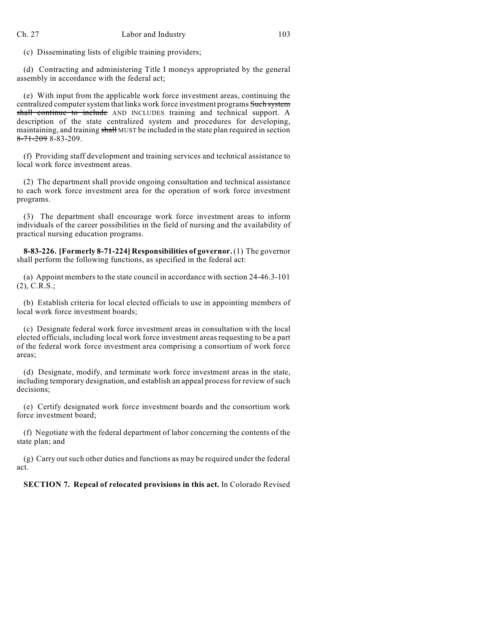(c) Disseminating lists of eligible training providers;

(d) Contracting and administering Title I moneys appropriated by the general assembly in accordance with the federal act;

(e) With input from the applicable work force investment areas, continuing the centralized computer system that links work force investment programs Such system shall continue to include AND INCLUDES training and technical support. A description of the state centralized system and procedures for developing, maintaining, and training shall MUST be included in the state plan required in section  $8-71-2098-83-209$ .

(f) Providing staff development and training services and technical assistance to local work force investment areas.

(2) The department shall provide ongoing consultation and technical assistance to each work force investment area for the operation of work force investment programs.

(3) The department shall encourage work force investment areas to inform individuals of the career possibilities in the field of nursing and the availability of practical nursing education programs.

**8-83-226. [Formerly 8-71-224] Responsibilities of governor.** (1) The governor shall perform the following functions, as specified in the federal act:

(a) Appoint members to the state council in accordance with section 24-46.3-101 (2), C.R.S.;

(b) Establish criteria for local elected officials to use in appointing members of local work force investment boards;

(c) Designate federal work force investment areas in consultation with the local elected officials, including local work force investment areas requesting to be a part of the federal work force investment area comprising a consortium of work force areas;

(d) Designate, modify, and terminate work force investment areas in the state, including temporary designation, and establish an appeal process for review of such decisions;

(e) Certify designated work force investment boards and the consortium work force investment board;

(f) Negotiate with the federal department of labor concerning the contents of the state plan; and

(g) Carry outsuch other duties and functions as may be required under the federal act.

**SECTION 7. Repeal of relocated provisions in this act.** In Colorado Revised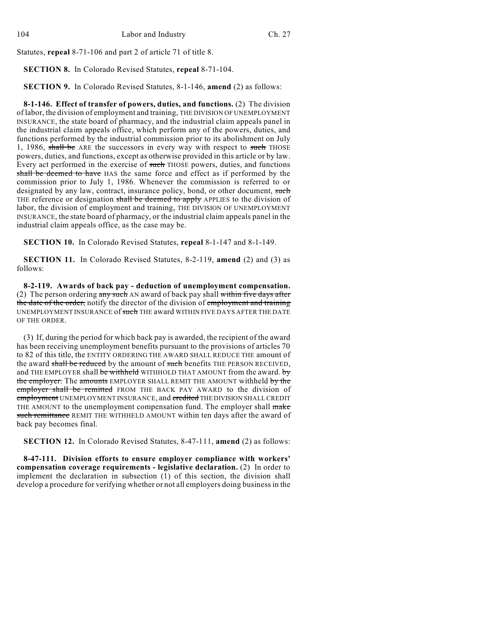Statutes, **repeal** 8-71-106 and part 2 of article 71 of title 8.

**SECTION 8.** In Colorado Revised Statutes, **repeal** 8-71-104.

**SECTION 9.** In Colorado Revised Statutes, 8-1-146, **amend** (2) as follows:

**8-1-146. Effect of transfer of powers, duties, and functions.** (2) The division of labor, the division of employment and training, THE DIVISION OF UNEMPLOYMENT INSURANCE, the state board of pharmacy, and the industrial claim appeals panel in the industrial claim appeals office, which perform any of the powers, duties, and functions performed by the industrial commission prior to its abolishment on July 1, 1986, shall be ARE the successors in every way with respect to such THOSE powers, duties, and functions, except as otherwise provided in this article or by law. Every act performed in the exercise of such THOSE powers, duties, and functions shall be deemed to have HAS the same force and effect as if performed by the commission prior to July 1, 1986. Whenever the commission is referred to or designated by any law, contract, insurance policy, bond, or other document, such THE reference or designation shall be deemed to apply APPLIES to the division of labor, the division of employment and training, THE DIVISION OF UNEMPLOYMENT INSURANCE, the state board of pharmacy, or the industrial claim appeals panel in the industrial claim appeals office, as the case may be.

**SECTION 10.** In Colorado Revised Statutes, **repeal** 8-1-147 and 8-1-149.

**SECTION 11.** In Colorado Revised Statutes, 8-2-119, **amend** (2) and (3) as follows:

**8-2-119. Awards of back pay - deduction of unemployment compensation.** (2) The person ordering  $\frac{\text{any such}}{\text{AN}}$  award of back pay shall within five days after the date of the order, notify the director of the division of employment and training UNEMPLOYMENT INSURANCE of such THE award WITHIN FIVE DAYS AFTER THE DATE OF THE ORDER.

(3) If, during the period for which back pay is awarded, the recipient of the award has been receiving unemployment benefits pursuant to the provisions of articles 70 to 82 of this title, the ENTITY ORDERING THE AWARD SHALL REDUCE THE amount of the award shall be reduced by the amount of such benefits THE PERSON RECEIVED, and THE EMPLOYER shall be withheld WITHHOLD THAT AMOUNT from the award. by the employer. The amounts EMPLOYER SHALL REMIT THE AMOUNT withheld by the employer shall be remitted FROM THE BACK PAY AWARD to the division of employment UNEMPLOYMENT INSURANCE, and credited THE DIVISION SHALL CREDIT THE AMOUNT to the unemployment compensation fund. The employer shall make such remittance REMIT THE WITHHELD AMOUNT within ten days after the award of back pay becomes final.

**SECTION 12.** In Colorado Revised Statutes, 8-47-111, **amend** (2) as follows:

**8-47-111. Division efforts to ensure employer compliance with workers' compensation coverage requirements - legislative declaration.** (2) In order to implement the declaration in subsection  $(1)$  of this section, the division shall develop a procedure for verifying whether or not all employers doing business in the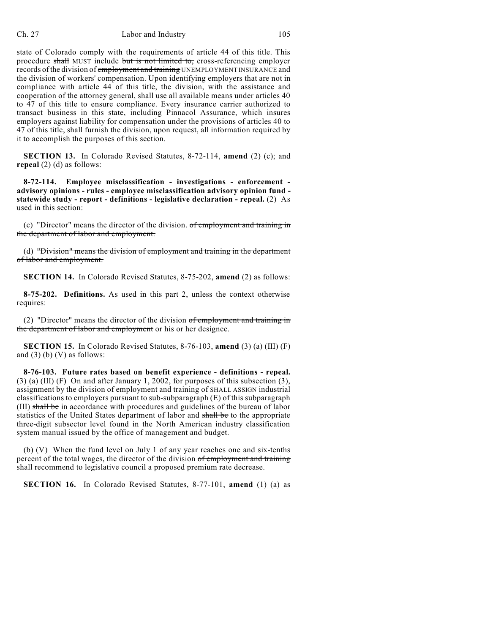## Ch. 27 Labor and Industry 105

state of Colorado comply with the requirements of article 44 of this title. This procedure shall MUST include but is not limited to, cross-referencing employer records of the division of employment and training UNEMPLOYMENT INSURANCE and the division of workers' compensation. Upon identifying employers that are not in compliance with article 44 of this title, the division, with the assistance and cooperation of the attorney general, shall use all available means under articles 40 to 47 of this title to ensure compliance. Every insurance carrier authorized to transact business in this state, including Pinnacol Assurance, which insures employers against liability for compensation under the provisions of articles 40 to 47 of this title, shall furnish the division, upon request, all information required by it to accomplish the purposes of this section.

**SECTION 13.** In Colorado Revised Statutes, 8-72-114, **amend** (2) (c); and **repeal** (2) (d) as follows:

**8-72-114. Employee misclassification - investigations - enforcement advisory opinions - rules - employee misclassification advisory opinion fund statewide study - report - definitions - legislative declaration - repeal.** (2) As used in this section:

(c) "Director" means the director of the division. of employment and training in the department of labor and employment.

(d) "Division" means the division of employment and training in the department of labor and employment.

**SECTION 14.** In Colorado Revised Statutes, 8-75-202, **amend** (2) as follows:

**8-75-202. Definitions.** As used in this part 2, unless the context otherwise requires:

(2) "Director" means the director of the division of employment and training in the department of labor and employment or his or her designee.

**SECTION 15.** In Colorado Revised Statutes, 8-76-103, **amend** (3) (a) (III) (F) and  $(3)$  (b)  $(V)$  as follows:

**8-76-103. Future rates based on benefit experience - definitions - repeal.** (3) (a) (III) (F) On and after January 1, 2002, for purposes of this subsection (3), assignment by the division of employment and training of SHALL ASSIGN industrial classifications to employers pursuant to sub-subparagraph (E) of this subparagraph (III) shall be in accordance with procedures and guidelines of the bureau of labor statistics of the United States department of labor and shall be to the appropriate three-digit subsector level found in the North American industry classification system manual issued by the office of management and budget.

(b) (V) When the fund level on July 1 of any year reaches one and six-tenths percent of the total wages, the director of the division of employment and training shall recommend to legislative council a proposed premium rate decrease.

**SECTION 16.** In Colorado Revised Statutes, 8-77-101, **amend** (1) (a) as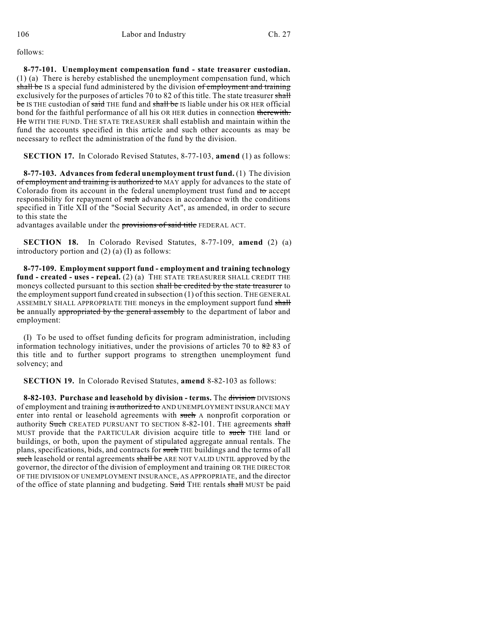follows:

**8-77-101. Unemployment compensation fund - state treasurer custodian.** (1) (a) There is hereby established the unemployment compensation fund, which shall be IS a special fund administered by the division of employment and training exclusively for the purposes of articles 70 to 82 of this title. The state treasurer shall be IS THE custodian of said THE fund and shall be IS liable under his OR HER official bond for the faithful performance of all his OR HER duties in connection therewith. He WITH THE FUND. THE STATE TREASURER shall establish and maintain within the fund the accounts specified in this article and such other accounts as may be necessary to reflect the administration of the fund by the division.

**SECTION 17.** In Colorado Revised Statutes, 8-77-103, **amend** (1) as follows:

**8-77-103. Advances from federal unemployment trust fund.** (1) The division of employment and training is authorized to MAY apply for advances to the state of Colorado from its account in the federal unemployment trust fund and  $\theta$  accept responsibility for repayment of such advances in accordance with the conditions specified in Title XII of the "Social Security Act", as amended, in order to secure to this state the

advantages available under the provisions of said title FEDERAL ACT.

**SECTION 18.** In Colorado Revised Statutes, 8-77-109, **amend** (2) (a) introductory portion and (2) (a) (I) as follows:

**8-77-109. Employment support fund - employment and training technology fund - created - uses - repeal.** (2) (a) THE STATE TREASURER SHALL CREDIT THE moneys collected pursuant to this section shall be credited by the state treasurer to the employment support fund created in subsection (1) of this section. THE GENERAL ASSEMBLY SHALL APPROPRIATE THE moneys in the employment support fund shall be annually appropriated by the general assembly to the department of labor and employment:

(I) To be used to offset funding deficits for program administration, including information technology initiatives, under the provisions of articles 70 to  $8283$  of this title and to further support programs to strengthen unemployment fund solvency; and

**SECTION 19.** In Colorado Revised Statutes, **amend** 8-82-103 as follows:

**8-82-103. Purchase and leasehold by division - terms.** The division DIVISIONS of employment and training is authorized to AND UNEMPLOYMENT INSURANCE MAY enter into rental or leasehold agreements with such A nonprofit corporation or authority Such CREATED PURSUANT TO SECTION 8-82-101. THE agreements shall MUST provide that the PARTICULAR division acquire title to such THE land or buildings, or both, upon the payment of stipulated aggregate annual rentals. The plans, specifications, bids, and contracts for such THE buildings and the terms of all such leasehold or rental agreements shall be ARE NOT VALID UNTIL approved by the governor, the director of the division of employment and training OR THE DIRECTOR OF THE DIVISION OF UNEMPLOYMENT INSURANCE, AS APPROPRIATE, and the director of the office of state planning and budgeting. Said THE rentals shall MUST be paid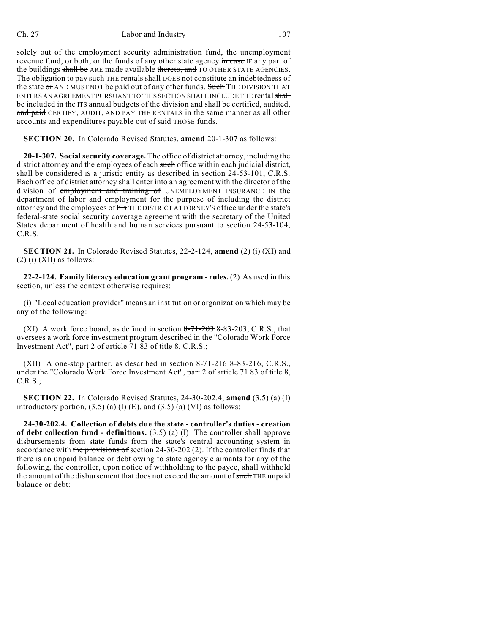## Ch. 27 Labor and Industry 107

solely out of the employment security administration fund, the unemployment revenue fund, or both, or the funds of any other state agency in case IF any part of the buildings shall be ARE made available thereto, and TO OTHER STATE AGENCIES. The obligation to pay such THE rentals shall DOES not constitute an indebtedness of the state or AND MUST NOT be paid out of any other funds. Such THE DIVISION THAT ENTERS AN AGREEMENT PURSUANT TO THIS SECTION SHALL INCLUDE THE rental shall be included in the ITS annual budgets of the division and shall be certified, audited, and paid CERTIFY, AUDIT, AND PAY THE RENTALS in the same manner as all other accounts and expenditures payable out of said THOSE funds.

**SECTION 20.** In Colorado Revised Statutes, **amend** 20-1-307 as follows:

**20-1-307. Socialsecurity coverage.** The office of district attorney, including the district attorney and the employees of each such office within each judicial district, shall be considered IS a juristic entity as described in section 24-53-101, C.R.S. Each office of district attorney shall enter into an agreement with the director of the division of employment and training of UNEMPLOYMENT INSURANCE IN the department of labor and employment for the purpose of including the district attorney and the employees of his THE DISTRICT ATTORNEY'S office under the state's federal-state social security coverage agreement with the secretary of the United States department of health and human services pursuant to section 24-53-104, C.R.S.

**SECTION 21.** In Colorado Revised Statutes, 22-2-124, **amend** (2) (i) (XI) and  $(2)$  (i) (XII) as follows:

**22-2-124. Family literacy education grant program - rules.** (2) As used in this section, unless the context otherwise requires:

(i) "Local education provider" means an institution or organization which may be any of the following:

(XI) A work force board, as defined in section  $8-71-203$  8-83-203, C.R.S., that oversees a work force investment program described in the "Colorado Work Force Investment Act", part 2 of article 71 83 of title 8, C.R.S.;

(XII) A one-stop partner, as described in section  $8-71-216$  8-83-216, C.R.S., under the "Colorado Work Force Investment Act", part 2 of article 7+83 of title 8, C.R.S.;

**SECTION 22.** In Colorado Revised Statutes, 24-30-202.4, **amend** (3.5) (a) (I) introductory portion,  $(3.5)$  (a) (I) (E), and  $(3.5)$  (a) (VI) as follows:

**24-30-202.4. Collection of debts due the state - controller's duties - creation of debt collection fund - definitions.** (3.5) (a) (I) The controller shall approve disbursements from state funds from the state's central accounting system in accordance with the provisions of section 24-30-202 (2). If the controller finds that there is an unpaid balance or debt owing to state agency claimants for any of the following, the controller, upon notice of withholding to the payee, shall withhold the amount of the disbursement that does not exceed the amount of such THE unpaid balance or debt: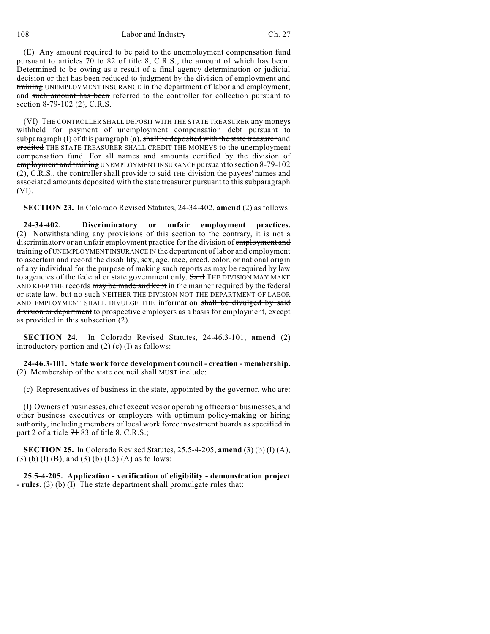108 Labor and Industry Ch. 27

(E) Any amount required to be paid to the unemployment compensation fund pursuant to articles 70 to 82 of title 8, C.R.S., the amount of which has been: Determined to be owing as a result of a final agency determination or judicial decision or that has been reduced to judgment by the division of employment and training UNEMPLOYMENT INSURANCE in the department of labor and employment; and such amount has been referred to the controller for collection pursuant to section 8-79-102 (2), C.R.S.

(VI) THE CONTROLLER SHALL DEPOSIT WITH THE STATE TREASURER any moneys withheld for payment of unemployment compensation debt pursuant to subparagraph  $(I)$  of this paragraph  $(a)$ , shall be deposited with the state treasurer and credited THE STATE TREASURER SHALL CREDIT THE MONEYS to the unemployment compensation fund. For all names and amounts certified by the division of employment and training UNEMPLOYMENTINSURANCE pursuant to section 8-79-102  $(2)$ , C.R.S., the controller shall provide to said THE division the payees' names and associated amounts deposited with the state treasurer pursuant to this subparagraph (VI).

**SECTION 23.** In Colorado Revised Statutes, 24-34-402, **amend** (2) as follows:

**24-34-402. Discriminatory or unfair employment practices.** (2) Notwithstanding any provisions of this section to the contrary, it is not a discriminatory or an unfair employment practice for the division of employment and training of UNEMPLOYMENT INSURANCE IN the department of labor and employment to ascertain and record the disability, sex, age, race, creed, color, or national origin of any individual for the purpose of making such reports as may be required by law to agencies of the federal or state government only. Said THE DIVISION MAY MAKE AND KEEP THE records may be made and kept in the manner required by the federal or state law, but no such NEITHER THE DIVISION NOT THE DEPARTMENT OF LABOR AND EMPLOYMENT SHALL DIVULGE THE information shall be divulged by said division or department to prospective employers as a basis for employment, except as provided in this subsection (2).

**SECTION 24.** In Colorado Revised Statutes, 24-46.3-101, **amend** (2) introductory portion and (2) (c) (I) as follows:

**24-46.3-101. State work force development council - creation - membership.** (2) Membership of the state council  $\frac{1}{2}$  MUST include:

(c) Representatives of business in the state, appointed by the governor, who are:

(I) Owners of businesses, chief executives or operating officers of businesses, and other business executives or employers with optimum policy-making or hiring authority, including members of local work force investment boards as specified in part 2 of article  $7+83$  of title 8, C.R.S.;

**SECTION 25.** In Colorado Revised Statutes, 25.5-4-205, **amend** (3) (b) (I) (A), (3) (b) (I) (B), and (3) (b) (I.5) (A) as follows:

**25.5-4-205. Application - verification of eligibility - demonstration project - rules.** (3) (b) (I) The state department shall promulgate rules that: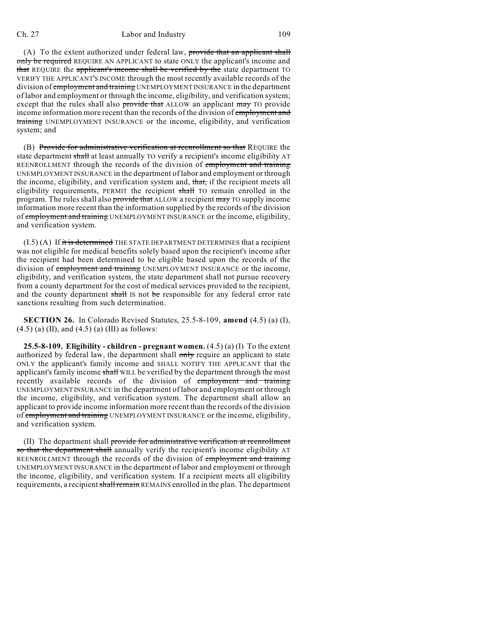### Ch. 27 Labor and Industry 109

(A) To the extent authorized under federal law, provide that an applicant shall only be required REQUIRE AN APPLICANT to state ONLY the applicant's income and that REQUIRE the applicant's income shall be verified by the state department TO VERIFY THE APPLICANT'S INCOME through the most recently available records of the division of **employment and training** UNEMPLOYMENT INSURANCE in the department of labor and employment or through the income, eligibility, and verification system; except that the rules shall also provide that ALLOW an applicant may TO provide income information more recent than the records of the division of employment and training UNEMPLOYMENT INSURANCE or the income, eligibility, and verification system; and

(B) Provide for administrative verification at reenrollment so that REQUIRE the state department shall at least annually TO verify a recipient's income eligibility AT REENROLLMENT through the records of the division of employment and training UNEMPLOYMENT INSURANCE in the department of labor and employment or through the income, eligibility, and verification system and, that, if the recipient meets all eligibility requirements, PERMIT the recipient shall TO remain enrolled in the program. The rules shall also provide that ALLOW a recipient may TO supply income information more recent than the information supplied by the records of the division of employment and training UNEMPLOYMENT INSURANCE or the income, eligibility, and verification system.

 $(1.5)$   $(A)$  If it is determined THE STATE DEPARTMENT DETERMINES that a recipient was not eligible for medical benefits solely based upon the recipient's income after the recipient had been determined to be eligible based upon the records of the division of employment and training UNEMPLOYMENT INSURANCE or the income, eligibility, and verification system, the state department shall not pursue recovery from a county department for the cost of medical services provided to the recipient, and the county department shall IS not be responsible for any federal error rate sanctions resulting from such determination.

**SECTION 26.** In Colorado Revised Statutes, 25.5-8-109, **amend** (4.5) (a) (I),  $(4.5)$  (a) (II), and  $(4.5)$  (a) (III) as follows:

**25.5-8-109. Eligibility - children - pregnant women.** (4.5) (a) (I) To the extent authorized by federal law, the department shall only require an applicant to state ONLY the applicant's family income and SHALL NOTIFY THE APPLICANT that the applicant's family income shall WILL be verified by the department through the most recently available records of the division of employment and training UNEMPLOYMENT INSURANCE in the department of labor and employment or through the income, eligibility, and verification system. The department shall allow an applicant to provide income information more recent than the records of the division of employment and training UNEMPLOYMENT INSURANCE or the income, eligibility, and verification system.

(II) The department shall provide for administrative verification at reenrollment so that the department shall annually verify the recipient's income eligibility AT REENROLLMENT through the records of the division of employment and training UNEMPLOYMENT INSURANCE in the department of labor and employment or through the income, eligibility, and verification system. If a recipient meets all eligibility requirements, a recipient shall remain REMAINS enrolled in the plan. The department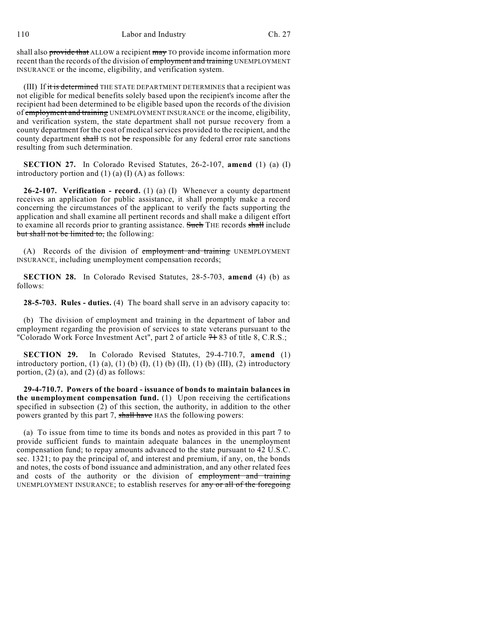shall also provide that ALLOW a recipient may TO provide income information more recent than the records of the division of employment and training UNEMPLOYMENT INSURANCE or the income, eligibility, and verification system.

(III) If it is determined THE STATE DEPARTMENT DETERMINES that a recipient was not eligible for medical benefits solely based upon the recipient's income after the recipient had been determined to be eligible based upon the records of the division of employment and training UNEMPLOYMENT INSURANCE or the income, eligibility, and verification system, the state department shall not pursue recovery from a county department for the cost of medical services provided to the recipient, and the county department shall IS not be responsible for any federal error rate sanctions resulting from such determination.

**SECTION 27.** In Colorado Revised Statutes, 26-2-107, **amend** (1) (a) (I) introductory portion and  $(1)$  (a)  $(I)$  (A) as follows:

**26-2-107. Verification - record.** (1) (a) (I) Whenever a county department receives an application for public assistance, it shall promptly make a record concerning the circumstances of the applicant to verify the facts supporting the application and shall examine all pertinent records and shall make a diligent effort to examine all records prior to granting assistance. Such THE records shall include but shall not be limited to, the following:

(A) Records of the division of employment and training UNEMPLOYMENT INSURANCE, including unemployment compensation records;

**SECTION 28.** In Colorado Revised Statutes, 28-5-703, **amend** (4) (b) as follows:

**28-5-703. Rules - duties.** (4) The board shall serve in an advisory capacity to:

(b) The division of employment and training in the department of labor and employment regarding the provision of services to state veterans pursuant to the "Colorado Work Force Investment Act", part 2 of article  $7+83$  of title 8, C.R.S.;

**SECTION 29.** In Colorado Revised Statutes, 29-4-710.7, **amend** (1) introductory portion, (1) (a), (1) (b) (I), (1) (b) (II), (1) (b) (III), (2) introductory portion,  $(2)$  (a), and  $(2)$  (d) as follows:

**29-4-710.7. Powers of the board - issuance of bonds to maintain balances in the unemployment compensation fund.** (1) Upon receiving the certifications specified in subsection  $(2)$  of this section, the authority, in addition to the other powers granted by this part 7, shall have HAS the following powers:

(a) To issue from time to time its bonds and notes as provided in this part 7 to provide sufficient funds to maintain adequate balances in the unemployment compensation fund; to repay amounts advanced to the state pursuant to 42 U.S.C. sec. 1321; to pay the principal of, and interest and premium, if any, on, the bonds and notes, the costs of bond issuance and administration, and any other related fees and costs of the authority or the division of employment and training UNEMPLOYMENT INSURANCE; to establish reserves for any or all of the foregoing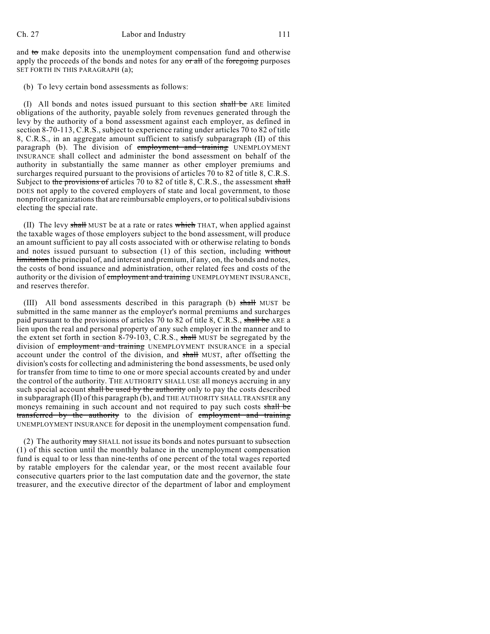and  $\omega$  make deposits into the unemployment compensation fund and otherwise apply the proceeds of the bonds and notes for any  $\sigma$  and  $\sigma$  the foregoing purposes SET FORTH IN THIS PARAGRAPH (a);

(b) To levy certain bond assessments as follows:

(I) All bonds and notes issued pursuant to this section shall be ARE limited obligations of the authority, payable solely from revenues generated through the levy by the authority of a bond assessment against each employer, as defined in section 8-70-113, C.R.S., subject to experience rating under articles 70 to 82 of title 8, C.R.S., in an aggregate amount sufficient to satisfy subparagraph (II) of this paragraph (b). The division of employment and training UNEMPLOYMENT INSURANCE shall collect and administer the bond assessment on behalf of the authority in substantially the same manner as other employer premiums and surcharges required pursuant to the provisions of articles 70 to 82 of title 8, C.R.S. Subject to the provisions of articles 70 to 82 of title 8, C.R.S., the assessment shall DOES not apply to the covered employers of state and local government, to those nonprofit organizations that are reimbursable employers, or to political subdivisions electing the special rate.

(II) The levy shall MUST be at a rate or rates which THAT, when applied against the taxable wages of those employers subject to the bond assessment, will produce an amount sufficient to pay all costs associated with or otherwise relating to bonds and notes issued pursuant to subsection (1) of this section, including without limitation the principal of, and interest and premium, if any, on, the bonds and notes, the costs of bond issuance and administration, other related fees and costs of the authority or the division of employment and training UNEMPLOYMENT INSURANCE, and reserves therefor.

(III) All bond assessments described in this paragraph (b) shall MUST be submitted in the same manner as the employer's normal premiums and surcharges paid pursuant to the provisions of articles 70 to 82 of title 8, C.R.S., shall be ARE a lien upon the real and personal property of any such employer in the manner and to the extent set forth in section 8-79-103, C.R.S., shall MUST be segregated by the division of employment and training UNEMPLOYMENT INSURANCE in a special account under the control of the division, and shall MUST, after offsetting the division's costs for collecting and administering the bond assessments, be used only for transfer from time to time to one or more special accounts created by and under the control of the authority. THE AUTHORITY SHALL USE all moneys accruing in any such special account shall be used by the authority only to pay the costs described in subparagraph (II) of this paragraph (b), and THE AUTHORITY SHALL TRANSFER any moneys remaining in such account and not required to pay such costs shall be transferred by the authority to the division of employment and training UNEMPLOYMENT INSURANCE for deposit in the unemployment compensation fund.

(2) The authority  $\frac{m}{x}$  SHALL not issue its bonds and notes pursuant to subsection (1) of this section until the monthly balance in the unemployment compensation fund is equal to or less than nine-tenths of one percent of the total wages reported by ratable employers for the calendar year, or the most recent available four consecutive quarters prior to the last computation date and the governor, the state treasurer, and the executive director of the department of labor and employment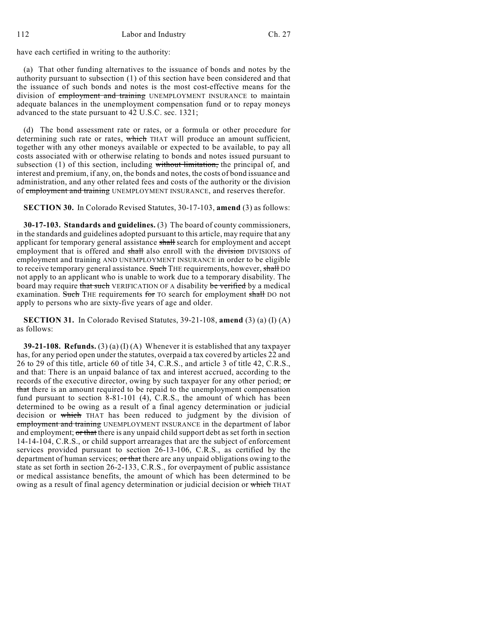have each certified in writing to the authority:

(a) That other funding alternatives to the issuance of bonds and notes by the authority pursuant to subsection (1) of this section have been considered and that the issuance of such bonds and notes is the most cost-effective means for the division of employment and training UNEMPLOYMENT INSURANCE to maintain adequate balances in the unemployment compensation fund or to repay moneys advanced to the state pursuant to 42 U.S.C. sec. 1321;

(d) The bond assessment rate or rates, or a formula or other procedure for determining such rate or rates, which THAT will produce an amount sufficient, together with any other moneys available or expected to be available, to pay all costs associated with or otherwise relating to bonds and notes issued pursuant to subsection  $(1)$  of this section, including without limitation, the principal of, and interest and premium, if any, on, the bonds and notes, the costs of bond issuance and administration, and any other related fees and costs of the authority or the division of employment and training UNEMPLOYMENT INSURANCE, and reserves therefor.

**SECTION 30.** In Colorado Revised Statutes, 30-17-103, **amend** (3) as follows:

**30-17-103. Standards and guidelines.** (3) The board of county commissioners, in the standards and guidelines adopted pursuant to this article, may require that any applicant for temporary general assistance shall search for employment and accept employment that is offered and shall also enroll with the division DIVISIONS of employment and training AND UNEMPLOYMENT INSURANCE in order to be eligible to receive temporary general assistance. Such THE requirements, however, shall DO not apply to an applicant who is unable to work due to a temporary disability. The board may require that such VERIFICATION OF A disability be verified by a medical examination. Such THE requirements for TO search for employment shall DO not apply to persons who are sixty-five years of age and older.

**SECTION 31.** In Colorado Revised Statutes, 39-21-108, **amend** (3) (a) (I) (A) as follows:

**39-21-108. Refunds.** (3) (a) (I) (A) Whenever it is established that any taxpayer has, for any period open under the statutes, overpaid a tax covered by articles 22 and 26 to 29 of this title, article 60 of title 34, C.R.S., and article 3 of title 42, C.R.S., and that: There is an unpaid balance of tax and interest accrued, according to the records of the executive director, owing by such taxpayer for any other period; or that there is an amount required to be repaid to the unemployment compensation fund pursuant to section 8-81-101 (4), C.R.S., the amount of which has been determined to be owing as a result of a final agency determination or judicial decision or which THAT has been reduced to judgment by the division of employment and training UNEMPLOYMENT INSURANCE in the department of labor and employment; or that there is any unpaid child support debt as set forth in section 14-14-104, C.R.S., or child support arrearages that are the subject of enforcement services provided pursuant to section 26-13-106, C.R.S., as certified by the department of human services; or that there are any unpaid obligations owing to the state as set forth in section 26-2-133, C.R.S., for overpayment of public assistance or medical assistance benefits, the amount of which has been determined to be owing as a result of final agency determination or judicial decision or which THAT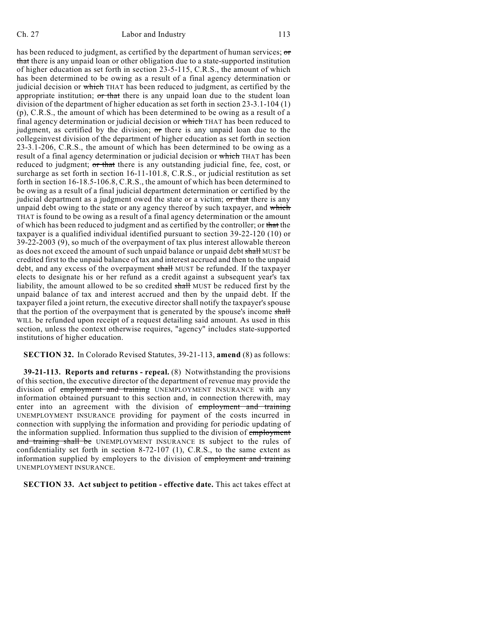has been reduced to judgment, as certified by the department of human services;  $\sigma$ that there is any unpaid loan or other obligation due to a state-supported institution of higher education as set forth in section 23-5-115, C.R.S., the amount of which has been determined to be owing as a result of a final agency determination or judicial decision or which THAT has been reduced to judgment, as certified by the appropriate institution;  $\sigma r$  that there is any unpaid loan due to the student loan division of the department of higher education as set forth in section 23-3.1-104 (1) (p), C.R.S., the amount of which has been determined to be owing as a result of a final agency determination or judicial decision or which THAT has been reduced to judgment, as certified by the division;  $\sigma$ r there is any unpaid loan due to the collegeinvest division of the department of higher education as set forth in section 23-3.1-206, C.R.S., the amount of which has been determined to be owing as a result of a final agency determination or judicial decision or which THAT has been reduced to judgment; or that there is any outstanding judicial fine, fee, cost, or surcharge as set forth in section 16-11-101.8, C.R.S., or judicial restitution as set forth in section 16-18.5-106.8, C.R.S., the amount of which has been determined to be owing as a result of a final judicial department determination or certified by the judicial department as a judgment owed the state or a victim; or that there is any unpaid debt owing to the state or any agency thereof by such taxpayer, and which THAT is found to be owing as a result of a final agency determination or the amount of which has been reduced to judgment and as certified by the controller; or that the taxpayer is a qualified individual identified pursuant to section 39-22-120 (10) or 39-22-2003 (9), so much of the overpayment of tax plus interest allowable thereon as does not exceed the amount of such unpaid balance or unpaid debt shall MUST be credited first to the unpaid balance of tax and interest accrued and then to the unpaid debt, and any excess of the overpayment shall MUST be refunded. If the taxpayer elects to designate his or her refund as a credit against a subsequent year's tax liability, the amount allowed to be so credited shall MUST be reduced first by the unpaid balance of tax and interest accrued and then by the unpaid debt. If the taxpayer filed a joint return, the executive director shall notify the taxpayer's spouse that the portion of the overpayment that is generated by the spouse's income shall WILL be refunded upon receipt of a request detailing said amount. As used in this section, unless the context otherwise requires, "agency" includes state-supported institutions of higher education.

**SECTION 32.** In Colorado Revised Statutes, 39-21-113, **amend** (8) as follows:

**39-21-113. Reports and returns - repeal.** (8) Notwithstanding the provisions of this section, the executive director of the department of revenue may provide the division of employment and training UNEMPLOYMENT INSURANCE with any information obtained pursuant to this section and, in connection therewith, may enter into an agreement with the division of employment and training UNEMPLOYMENT INSURANCE providing for payment of the costs incurred in connection with supplying the information and providing for periodic updating of the information supplied. Information thus supplied to the division of employment and training shall be UNEMPLOYMENT INSURANCE IS subject to the rules of confidentiality set forth in section 8-72-107 (1), C.R.S., to the same extent as information supplied by employers to the division of employment and training UNEMPLOYMENT INSURANCE.

**SECTION 33. Act subject to petition - effective date.** This act takes effect at